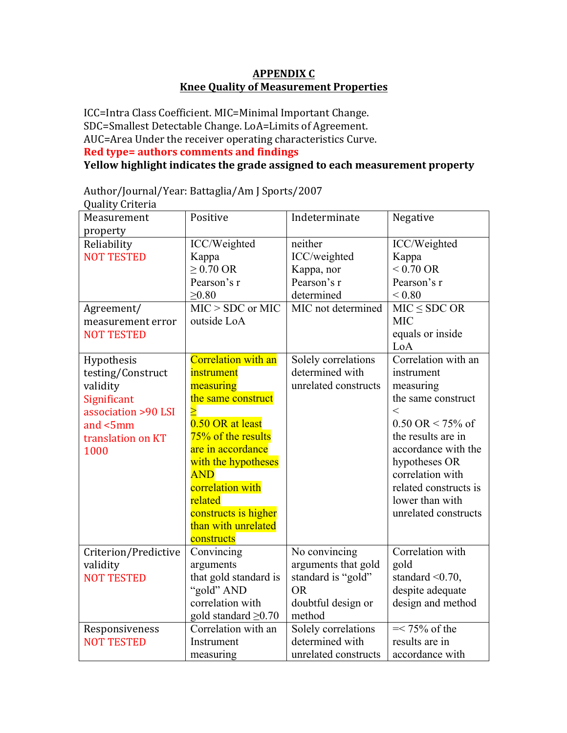### **APPENDIX C Knee Quality of Measurement Properties**

ICC=Intra Class Coefficient. MIC=Minimal Important Change. SDC=Smallest Detectable Change. LoA=Limits of Agreement. AUC=Area Under the receiver operating characteristics Curve. **Red type= authors comments and findings** 

**Yellow highlight indicates the grade assigned to each measurement property** 

| Quality Criteria     |                            |                      |                                     |
|----------------------|----------------------------|----------------------|-------------------------------------|
| Measurement          | Positive                   | Indeterminate        | Negative                            |
| property             |                            |                      |                                     |
| Reliability          | ICC/Weighted               | neither              | ICC/Weighted                        |
| <b>NOT TESTED</b>    | Kappa                      | ICC/weighted         | Kappa                               |
|                      | $\geq$ 0.70 OR             | Kappa, nor           | $< 0.70 \text{ OR}$                 |
|                      | Pearson's r                | Pearson's r          | Pearson's r                         |
|                      | $\geq 0.80$                | determined           | ${}_{0.80}$                         |
| Agreement/           | $MIC > SDC$ or MIC         | MIC not determined   | $MIC \leq SDC OR$                   |
| measurement error    | outside LoA                |                      | <b>MIC</b>                          |
| <b>NOT TESTED</b>    |                            |                      | equals or inside                    |
|                      |                            |                      | LoA                                 |
| Hypothesis           | <b>Correlation with an</b> | Solely correlations  | Correlation with an                 |
| testing/Construct    | instrument                 | determined with      | instrument                          |
| validity             | measuring                  | unrelated constructs | measuring                           |
| Significant          | the same construct         |                      | the same construct                  |
| association >90 LSI  |                            |                      | $\lt$                               |
| and <5mm             | 0.50 OR at least           |                      | $0.50 \text{ OR} < 75\% \text{ of}$ |
| translation on KT    | 75% of the results         |                      | the results are in                  |
| 1000                 | are in accordance          |                      | accordance with the                 |
|                      | with the hypotheses        |                      | hypotheses OR                       |
|                      | <b>AND</b>                 |                      | correlation with                    |
|                      | correlation with           |                      | related constructs is               |
|                      | related                    |                      | lower than with                     |
|                      | constructs is higher       |                      | unrelated constructs                |
|                      | than with unrelated        |                      |                                     |
|                      | constructs                 |                      |                                     |
| Criterion/Predictive | Convincing                 | No convincing        | Correlation with                    |
| validity             | arguments                  | arguments that gold  | gold                                |
| <b>NOT TESTED</b>    | that gold standard is      | standard is "gold"   | standard $\leq 0.70$ ,              |
|                      | "gold" AND                 | <b>OR</b>            | despite adequate                    |
|                      | correlation with           | doubtful design or   | design and method                   |
|                      | gold standard $\geq 0.70$  | method               |                                     |
| Responsiveness       | Correlation with an        | Solely correlations  | $=< 75\%$ of the                    |
| <b>NOT TESTED</b>    | Instrument                 | determined with      | results are in                      |
|                      | measuring                  | unrelated constructs | accordance with                     |

Author/Journal/Year: Battaglia/Am J Sports/2007 Quality Criteria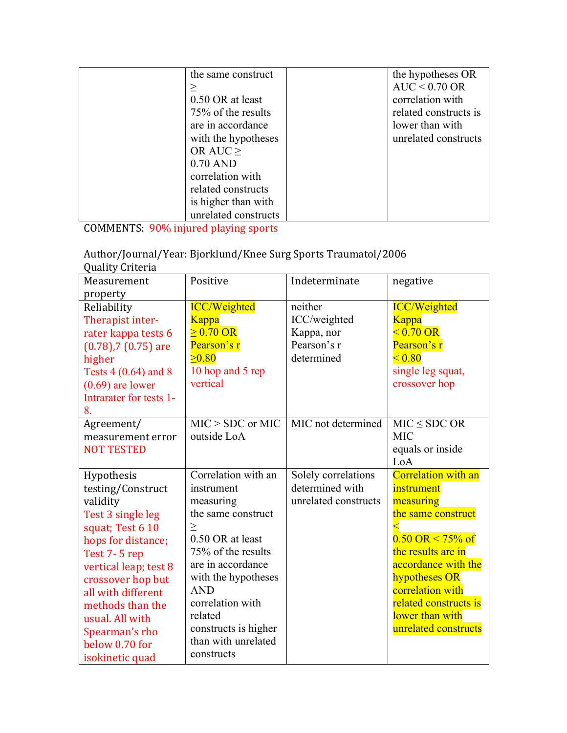| the same construct   | the hypotheses OR     |
|----------------------|-----------------------|
|                      | $AUC < 0.70$ OR       |
| 0.50 OR at least     | correlation with      |
| 75% of the results   | related constructs is |
| are in accordance    | lower than with       |
| with the hypotheses  | unrelated constructs  |
| OR AUC $\geq$        |                       |
| $0.70$ AND           |                       |
| correlation with     |                       |
| related constructs   |                       |
| is higher than with  |                       |
| unrelated constructs |                       |

COMMENTS: 90% injured playing sports

Author/Journal/Year: Bjorklund/Knee Surg Sports Traumatol/2006

| <b>Quality Criteria</b>   |                      |                      |                                     |
|---------------------------|----------------------|----------------------|-------------------------------------|
| Measurement               | Positive             | Indeterminate        | negative                            |
| property                  |                      |                      |                                     |
| Reliability               | <b>ICC/Weighted</b>  | neither              | <b>ICC/Weighted</b>                 |
| Therapist inter-          | Kappa                | ICC/weighted         | Kappa                               |
| rater kappa tests 6       | $> 0.70 \text{ OR}$  | Kappa, nor           | $< 0.70 \text{ OR}$                 |
| $(0.78)$ , 7 $(0.75)$ are | Pearson's r          | Pearson's r          | Pearson's r                         |
| higher                    | $\geq 0.80$          | determined           | < 0.80                              |
| Tests 4 (0.64) and 8      | 10 hop and 5 rep     |                      | single leg squat,                   |
| $(0.69)$ are lower        | vertical             |                      | crossover hop                       |
| Intrarater for tests 1-   |                      |                      |                                     |
| 8.                        |                      |                      |                                     |
| Agreement/                | $MIC > SDC$ or MIC   | MIC not determined   | $MIC \leq SDC OR$                   |
| measurement error         | outside LoA          |                      | <b>MIC</b>                          |
| <b>NOT TESTED</b>         |                      |                      | equals or inside                    |
|                           |                      |                      | LoA                                 |
| Hypothesis                | Correlation with an  | Solely correlations  | <b>Correlation with an</b>          |
| testing/Construct         | instrument           | determined with      | instrument                          |
| validity                  | measuring            | unrelated constructs | measuring                           |
| Test 3 single leg         | the same construct   |                      | the same construct                  |
| squat; Test 6 10          | $\geq$               |                      |                                     |
| hops for distance;        | 0.50 OR at least     |                      | $0.50 \text{ OR} < 75\% \text{ of}$ |
| Test 7-5 rep              | 75% of the results   |                      | the results are in                  |
| vertical leap; test 8     | are in accordance    |                      | accordance with the                 |
| crossover hop but         | with the hypotheses  |                      | hypotheses OR                       |
| all with different        | <b>AND</b>           |                      | correlation with                    |
| methods than the          | correlation with     |                      | related constructs is               |
| usual. All with           | related              |                      | lower than with                     |
| Spearman's rho            | constructs is higher |                      | unrelated constructs                |
| below 0.70 for            | than with unrelated  |                      |                                     |
| isokinetic quad           | constructs           |                      |                                     |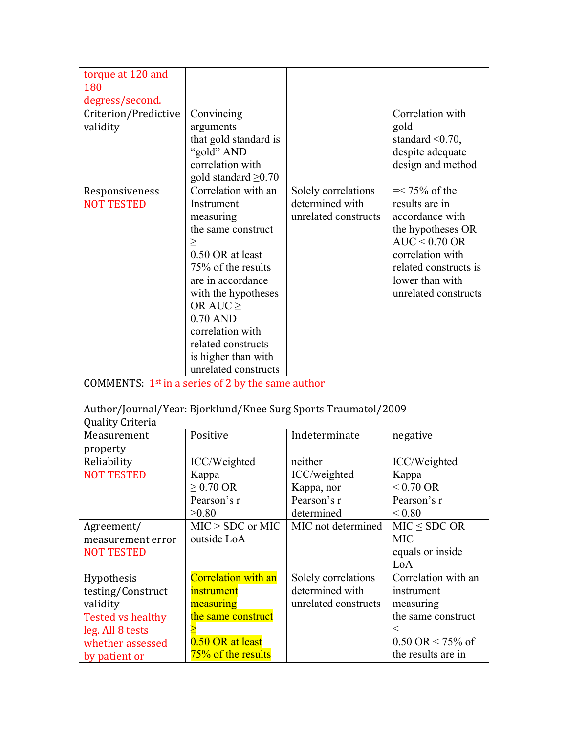| torque at 120 and<br>180<br>degress/second. |                                                                                                                                                                                                                                                                                         |                                                                |                                                                                                                                                                                       |
|---------------------------------------------|-----------------------------------------------------------------------------------------------------------------------------------------------------------------------------------------------------------------------------------------------------------------------------------------|----------------------------------------------------------------|---------------------------------------------------------------------------------------------------------------------------------------------------------------------------------------|
| Criterion/Predictive<br>validity            | Convincing<br>arguments<br>that gold standard is<br>"gold" AND<br>correlation with<br>gold standard $\geq 0.70$                                                                                                                                                                         |                                                                | Correlation with<br>gold<br>standard $\leq 0.70$ ,<br>despite adequate<br>design and method                                                                                           |
| Responsiveness<br><b>NOT TESTED</b>         | Correlation with an<br>Instrument<br>measuring<br>the same construct<br>><br>0.50 OR at least<br>75% of the results<br>are in accordance<br>with the hypotheses<br>OR AUC $\geq$<br>$0.70$ AND<br>correlation with<br>related constructs<br>is higher than with<br>unrelated constructs | Solely correlations<br>determined with<br>unrelated constructs | $=< 75\%$ of the<br>results are in<br>accordance with<br>the hypotheses OR<br>$AUC < 0.70$ OR<br>correlation with<br>related constructs is<br>lower than with<br>unrelated constructs |

COMMENTS:  $1^{st}$  in a series of 2 by the same author

# Author/Journal/Year: Bjorklund/Knee Surg Sports Traumatol/2009

| Quality Criteria         |                     |                      |                                       |  |  |
|--------------------------|---------------------|----------------------|---------------------------------------|--|--|
| Measurement              | Positive            | Indeterminate        | negative                              |  |  |
| property                 |                     |                      |                                       |  |  |
| Reliability              | ICC/Weighted        | neither              | ICC/Weighted                          |  |  |
| <b>NOT TESTED</b>        | Kappa               | ICC/weighted         | Kappa                                 |  |  |
|                          | $\geq$ 0.70 OR      | Kappa, nor           | $< 0.70 \text{ OR}$                   |  |  |
|                          | Pearson's r         | Pearson's r          | Pearson's r                           |  |  |
|                          | $\geq 0.80$         | determined           | ${}_{\leq 0.80}$                      |  |  |
| Agreement/               | $MIC > SDC$ or MIC  | MIC not determined   | $MIC \le SDC OR$                      |  |  |
| measurement error        | outside LoA         |                      | <b>MIC</b>                            |  |  |
| <b>NOT TESTED</b>        |                     |                      | equals or inside                      |  |  |
|                          |                     |                      | LoA                                   |  |  |
| Hypothesis               | Correlation with an | Solely correlations  | Correlation with an                   |  |  |
| testing/Construct        | instrument          | determined with      | instrument                            |  |  |
| validity                 | measuring           | unrelated constructs | measuring                             |  |  |
| <b>Tested vs healthy</b> | the same construct  |                      | the same construct                    |  |  |
| leg. All 8 tests         |                     |                      | $\,<\,$                               |  |  |
| whether assessed         | 0.50 OR at least    |                      | $0.50 \text{ OR} \le 75\% \text{ of}$ |  |  |
| by patient or            | 75% of the results  |                      | the results are in                    |  |  |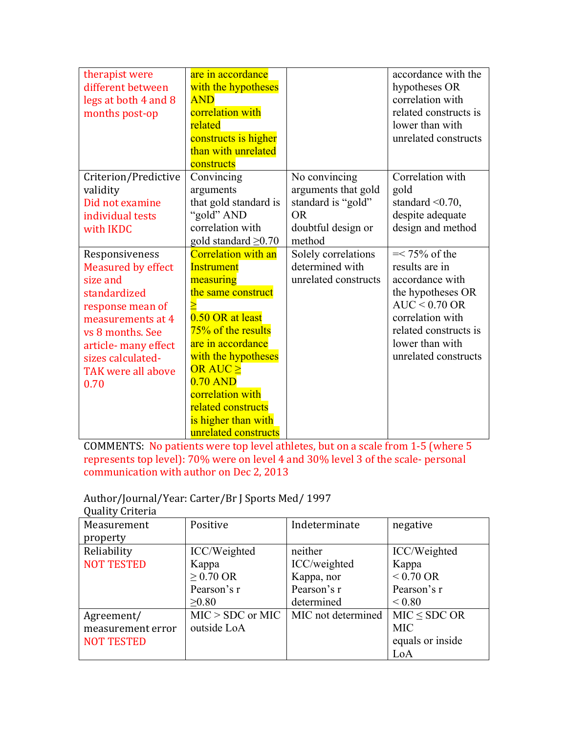| therapist were<br>different between<br>legs at both 4 and 8<br>months post-op                                                                                                                                   | are in accordance<br>with the hypotheses<br><b>AND</b><br>correlation with<br>related<br>constructs is higher<br>than with unrelated<br>constructs                                                                                                                                          |                                                                                                         | accordance with the<br>hypotheses OR<br>correlation with<br>related constructs is<br>lower than with<br>unrelated constructs                                                          |
|-----------------------------------------------------------------------------------------------------------------------------------------------------------------------------------------------------------------|---------------------------------------------------------------------------------------------------------------------------------------------------------------------------------------------------------------------------------------------------------------------------------------------|---------------------------------------------------------------------------------------------------------|---------------------------------------------------------------------------------------------------------------------------------------------------------------------------------------|
| Criterion/Predictive<br>validity<br>Did not examine<br>individual tests<br>with IKDC                                                                                                                            | Convincing<br>arguments<br>that gold standard is<br>"gold" AND<br>correlation with<br>gold standard $\geq 0.70$                                                                                                                                                                             | No convincing<br>arguments that gold<br>standard is "gold"<br><b>OR</b><br>doubtful design or<br>method | Correlation with<br>gold<br>standard $\leq 0.70$ ,<br>despite adequate<br>design and method                                                                                           |
| Responsiveness<br><b>Measured by effect</b><br>size and<br>standardized<br>response mean of<br>measurements at 4<br>vs 8 months. See<br>article- many effect<br>sizes calculated-<br>TAK were all above<br>0.70 | <b>Correlation with an</b><br><b>Instrument</b><br>measuring<br>the same construct<br>0.50 OR at least<br>75% of the results<br>are in accordance<br>with the hypotheses<br>OR AUC ><br>$0.70$ AND<br>correlation with<br>related constructs<br>is higher than with<br>unrelated constructs | Solely correlations<br>determined with<br>unrelated constructs                                          | $=< 75\%$ of the<br>results are in<br>accordance with<br>the hypotheses OR<br>$AUC < 0.70$ OR<br>correlation with<br>related constructs is<br>lower than with<br>unrelated constructs |

COMMENTS: No patients were top level athletes, but on a scale from 1-5 (where 5 represents top level): 70% were on level 4 and 30% level 3 of the scale- personal communication with author on Dec 2, 2013

## Author/Journal/Year: Carter/Br J Sports Med/ 1997

| Quality Criteria  |                    |                    |                     |
|-------------------|--------------------|--------------------|---------------------|
| Measurement       | Positive           | Indeterminate      | negative            |
| property          |                    |                    |                     |
| Reliability       | ICC/Weighted       | neither            | ICC/Weighted        |
| <b>NOT TESTED</b> | Kappa              | ICC/weighted       | Kappa               |
|                   | $\geq$ 0.70 OR     | Kappa, nor         | $< 0.70 \text{ OR}$ |
|                   | Pearson's r        | Pearson's r        | Pearson's r         |
|                   | >0.80              | determined         | ${}_{0.80}$         |
| Agreement/        | $MIC > SDC$ or MIC | MIC not determined | $MIC \le SDC OR$    |
| measurement error | outside LoA        |                    | <b>MIC</b>          |
| <b>NOT TESTED</b> |                    |                    | equals or inside    |
|                   |                    |                    | LoA                 |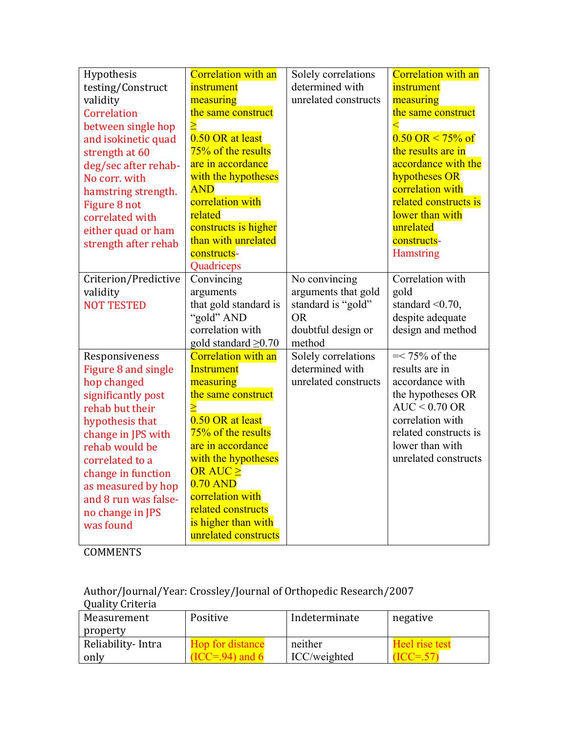| Hypothesis                               | <b>Correlation with an</b>                              | Solely correlations           | <b>Correlation with an</b>            |
|------------------------------------------|---------------------------------------------------------|-------------------------------|---------------------------------------|
| testing/Construct                        | instrument                                              | determined with               | instrument                            |
| validity                                 | measuring                                               | unrelated constructs          | measuring                             |
| Correlation                              | the same construct                                      |                               | the same construct                    |
| between single hop                       |                                                         |                               |                                       |
| and isokinetic quad                      | 0.50 OR at least                                        |                               | $0.50 \text{ OR} \le 75\% \text{ of}$ |
| strength at 60                           | 75% of the results                                      |                               | the results are in                    |
| deg/sec after rehab-                     | are in accordance                                       |                               | accordance with the                   |
| No corr. with                            | with the hypotheses                                     |                               | hypotheses OR                         |
| hamstring strength.                      | <b>AND</b>                                              |                               | correlation with                      |
| Figure 8 not                             | correlation with                                        |                               | related constructs is                 |
| correlated with                          | related                                                 |                               | lower than with                       |
| either quad or ham                       | constructs is higher                                    |                               | unrelated                             |
| strength after rehab                     | than with unrelated                                     |                               | constructs-                           |
|                                          | constructs-                                             |                               | <b>Hamstring</b>                      |
|                                          | Quadriceps                                              |                               |                                       |
| Criterion/Predictive                     | Convincing                                              | No convincing                 | Correlation with                      |
| validity                                 | arguments                                               | arguments that gold           | gold                                  |
| <b>NOT TESTED</b>                        | that gold standard is                                   | standard is "gold"            | standard $\leq 0.70$ ,                |
|                                          | "gold" AND                                              | <b>OR</b>                     | despite adequate                      |
|                                          | correlation with                                        | doubtful design or            | design and method                     |
|                                          | gold standard $\geq 0.70$<br><b>Correlation with an</b> | method<br>Solely correlations | $=< 75\%$ of the                      |
| Responsiveness                           | <b>Instrument</b>                                       | determined with               | results are in                        |
| Figure 8 and single                      | measuring                                               | unrelated constructs          | accordance with                       |
| hop changed                              | the same construct                                      |                               | the hypotheses OR                     |
| significantly post<br>rehab but their    |                                                         |                               | $AUC < 0.70$ OR                       |
|                                          | 0.50 OR at least                                        |                               | correlation with                      |
| hypothesis that                          | 75% of the results                                      |                               | related constructs is                 |
| change in JPS with<br>rehab would be     | are in accordance                                       |                               | lower than with                       |
| correlated to a                          | with the hypotheses                                     |                               | unrelated constructs                  |
|                                          | OR AUC >                                                |                               |                                       |
| change in function<br>as measured by hop | $0.70$ AND                                              |                               |                                       |
| and 8 run was false-                     | correlation with                                        |                               |                                       |
| no change in JPS                         | related constructs                                      |                               |                                       |
| was found                                | is higher than with                                     |                               |                                       |
|                                          | unrelated constructs                                    |                               |                                       |
|                                          |                                                         |                               |                                       |

Author/Journal/Year: Crossley/Journal of Orthopedic Research/2007

| Quality Criteria  |                  |               |                          |
|-------------------|------------------|---------------|--------------------------|
| Measurement       | Positive         | Indeterminate | negative                 |
| property          |                  |               |                          |
| Reliability-Intra | Hop for distance | neither       | <b>Heel</b> rise test    |
| only              | $ICC = 94$ and 6 | ICC/weighted  | $\triangle$ = $\Delta V$ |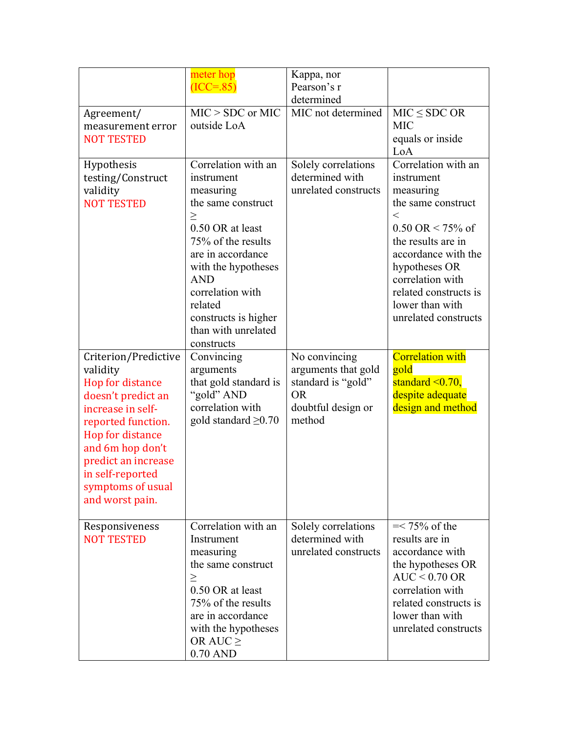|                                                                                                                                                                                                                                                  | meter hop<br>$(ICC=85)$                                                                                                                                                                                                                                                        | Kappa, nor<br>Pearson's r<br>determined                                                                 |                                                                                                                                                                                                                                                                            |
|--------------------------------------------------------------------------------------------------------------------------------------------------------------------------------------------------------------------------------------------------|--------------------------------------------------------------------------------------------------------------------------------------------------------------------------------------------------------------------------------------------------------------------------------|---------------------------------------------------------------------------------------------------------|----------------------------------------------------------------------------------------------------------------------------------------------------------------------------------------------------------------------------------------------------------------------------|
| Agreement/<br>measurement error<br><b>NOT TESTED</b>                                                                                                                                                                                             | $MIC > SDC$ or $MIC$<br>outside LoA                                                                                                                                                                                                                                            | MIC not determined                                                                                      | $MIC \le SDC OR$<br><b>MIC</b><br>equals or inside<br>LoA                                                                                                                                                                                                                  |
| Hypothesis<br>testing/Construct<br>validity<br><b>NOT TESTED</b>                                                                                                                                                                                 | Correlation with an<br>instrument<br>measuring<br>the same construct<br>$\geq$<br>0.50 OR at least<br>75% of the results<br>are in accordance<br>with the hypotheses<br><b>AND</b><br>correlation with<br>related<br>constructs is higher<br>than with unrelated<br>constructs | Solely correlations<br>determined with<br>unrelated constructs                                          | Correlation with an<br>instrument<br>measuring<br>the same construct<br>$\,<$<br>$0.50 \text{ OR} < 75\% \text{ of}$<br>the results are in<br>accordance with the<br>hypotheses OR<br>correlation with<br>related constructs is<br>lower than with<br>unrelated constructs |
| Criterion/Predictive<br>validity<br>Hop for distance<br>doesn't predict an<br>increase in self-<br>reported function.<br>Hop for distance<br>and 6m hop don't<br>predict an increase<br>in self-reported<br>symptoms of usual<br>and worst pain. | Convincing<br>arguments<br>that gold standard is<br>"gold" AND<br>correlation with<br>gold standard $\geq 0.70$                                                                                                                                                                | No convincing<br>arguments that gold<br>standard is "gold"<br><b>OR</b><br>doubtful design or<br>method | <b>Correlation with</b><br>gold<br>standard $\leq 0.70$ ,<br>despite adequate<br>design and method                                                                                                                                                                         |
| Responsiveness<br><b>NOT TESTED</b>                                                                                                                                                                                                              | Correlation with an<br>Instrument<br>measuring<br>the same construct<br>$\geq$<br>0.50 OR at least<br>75% of the results<br>are in accordance<br>with the hypotheses<br>OR AUC $\geq$<br>$0.70$ AND                                                                            | Solely correlations<br>determined with<br>unrelated constructs                                          | $=< 75\%$ of the<br>results are in<br>accordance with<br>the hypotheses OR<br>$AUC < 0.70$ OR<br>correlation with<br>related constructs is<br>lower than with<br>unrelated constructs                                                                                      |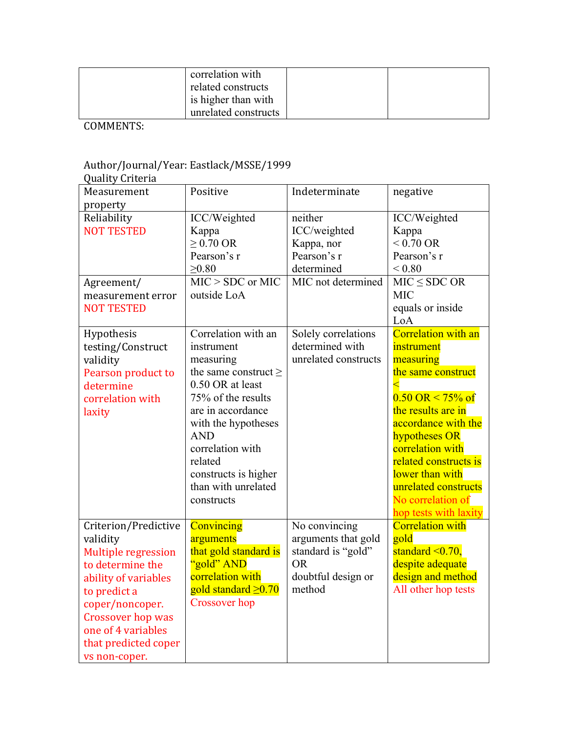| correlation with<br>related constructs |  |
|----------------------------------------|--|
| is higher than with                    |  |
| unrelated constructs                   |  |

### Author/Journal/Year: Eastlack/MSSE/1999

| <b>Quality Criteria</b>                                                                                                                                                                                                           |                                                                                                                                                                                                                                    |                                                                                                                                                            |                                                                                                                                                                                                                                                                   |
|-----------------------------------------------------------------------------------------------------------------------------------------------------------------------------------------------------------------------------------|------------------------------------------------------------------------------------------------------------------------------------------------------------------------------------------------------------------------------------|------------------------------------------------------------------------------------------------------------------------------------------------------------|-------------------------------------------------------------------------------------------------------------------------------------------------------------------------------------------------------------------------------------------------------------------|
| Measurement                                                                                                                                                                                                                       | Positive                                                                                                                                                                                                                           | Indeterminate                                                                                                                                              | negative                                                                                                                                                                                                                                                          |
| property<br>Reliability<br><b>NOT TESTED</b><br>Agreement/<br>measurement error<br><b>NOT TESTED</b><br>Hypothesis<br>testing/Construct<br>validity<br>Pearson product to<br>determine<br>correlation with                        | ICC/Weighted<br>Kappa<br>$> 0.70$ OR<br>Pearson's r<br>$\geq 0.80$<br>$MIC > SDC$ or $MIC$<br>outside LoA<br>Correlation with an<br>instrument<br>measuring<br>the same construct $\geq$<br>0.50 OR at least<br>75% of the results | neither<br>ICC/weighted<br>Kappa, nor<br>Pearson's r<br>determined<br>MIC not determined<br>Solely correlations<br>determined with<br>unrelated constructs | ICC/Weighted<br>Kappa<br>$< 0.70 \text{ OR}$<br>Pearson's r<br>${}_{< 0.80}$<br>$MIC \le SDC OR$<br><b>MIC</b><br>equals or inside<br>LoA<br><b>Correlation with an</b><br>instrument<br>measuring<br>the same construct<br>$0.50 \text{ OR} \le 75\% \text{ of}$ |
| laxity                                                                                                                                                                                                                            | are in accordance<br>with the hypotheses<br><b>AND</b><br>correlation with<br>related<br>constructs is higher<br>than with unrelated<br>constructs                                                                                 |                                                                                                                                                            | the results are in<br>accordance with the<br>hypotheses OR<br>correlation with<br>related constructs is<br>lower than with<br>unrelated constructs<br>No correlation of<br>hop tests with laxity                                                                  |
| Criterion/Predictive<br>validity<br><b>Multiple regression</b><br>to determine the<br>ability of variables<br>to predict a<br>coper/noncoper.<br>Crossover hop was<br>one of 4 variables<br>that predicted coper<br>vs non-coper. | Convincing<br>arguments<br>that gold standard is<br>"gold" AND<br>correlation with<br>gold standard ≥0.70<br>Crossover hop                                                                                                         | No convincing<br>arguments that gold<br>standard is "gold"<br><b>OR</b><br>doubtful design or<br>method                                                    | <b>Correlation with</b><br>gold<br>standard $\leq 0.70$ ,<br>despite adequate<br>design and method<br>All other hop tests                                                                                                                                         |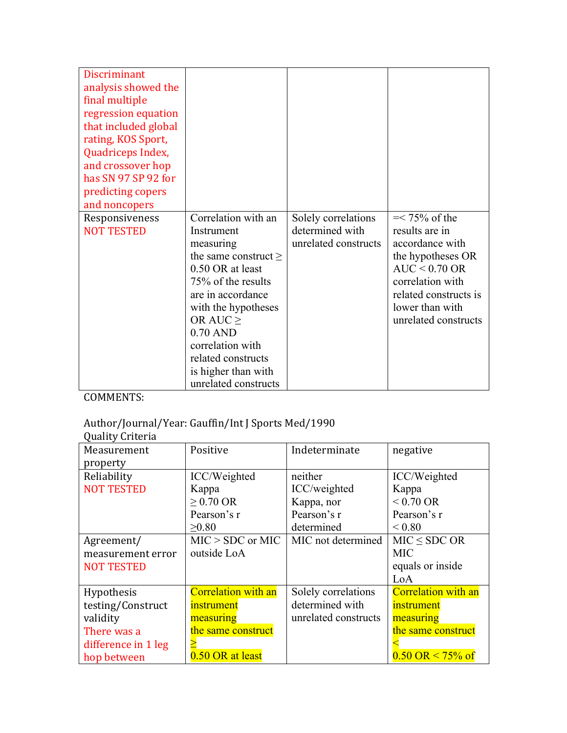| <b>Discriminant</b><br>analysis showed the<br>final multiple<br>regression equation<br>that included global<br>rating, KOS Sport,<br>Quadriceps Index,<br>and crossover hop<br>has SN 97 SP 92 for |                                                                                                                                                                                                                                                                                           |                                                                |                                                                                                                                                                                       |
|----------------------------------------------------------------------------------------------------------------------------------------------------------------------------------------------------|-------------------------------------------------------------------------------------------------------------------------------------------------------------------------------------------------------------------------------------------------------------------------------------------|----------------------------------------------------------------|---------------------------------------------------------------------------------------------------------------------------------------------------------------------------------------|
| predicting copers<br>and noncopers                                                                                                                                                                 |                                                                                                                                                                                                                                                                                           |                                                                |                                                                                                                                                                                       |
| Responsiveness<br><b>NOT TESTED</b>                                                                                                                                                                | Correlation with an<br>Instrument<br>measuring<br>the same construct $\geq$<br>0.50 OR at least<br>75% of the results<br>are in accordance<br>with the hypotheses<br>OR AUC $\geq$<br>$0.70$ AND<br>correlation with<br>related constructs<br>is higher than with<br>unrelated constructs | Solely correlations<br>determined with<br>unrelated constructs | $=< 75\%$ of the<br>results are in<br>accordance with<br>the hypotheses OR<br>$AUC < 0.70$ OR<br>correlation with<br>related constructs is<br>lower than with<br>unrelated constructs |

### Author/Journal/Year: Gauffin/Int J Sports Med/1990

Quality Criteria

| gaant, sittetta     |                            |                      |                                       |
|---------------------|----------------------------|----------------------|---------------------------------------|
| Measurement         | Positive                   | Indeterminate        | negative                              |
| property            |                            |                      |                                       |
| Reliability         | ICC/Weighted               | neither              | ICC/Weighted                          |
| <b>NOT TESTED</b>   | Kappa                      | ICC/weighted         | Kappa                                 |
|                     | $\geq$ 0.70 OR             | Kappa, nor           | $< 0.70$ OR                           |
|                     | Pearson's r                | Pearson's r          | Pearson's r                           |
|                     | >0.80                      | determined           | ${}_{0.80}$                           |
| Agreement/          | $MIC > SDC$ or $MIC$       | MIC not determined   | $MIC \le SDC OR$                      |
| measurement error   | outside LoA                |                      | <b>MIC</b>                            |
| <b>NOT TESTED</b>   |                            |                      | equals or inside                      |
|                     |                            |                      | LoA                                   |
| Hypothesis          | <b>Correlation with an</b> | Solely correlations  | <b>Correlation with an</b>            |
| testing/Construct   | <i>instrument</i>          | determined with      | instrument                            |
| validity            | measuring                  | unrelated constructs | measuring                             |
| There was a         | the same construct         |                      | the same construct                    |
| difference in 1 leg |                            |                      |                                       |
| hop between         | 0.50 OR at least           |                      | $0.50 \text{ OR} \le 75\% \text{ of}$ |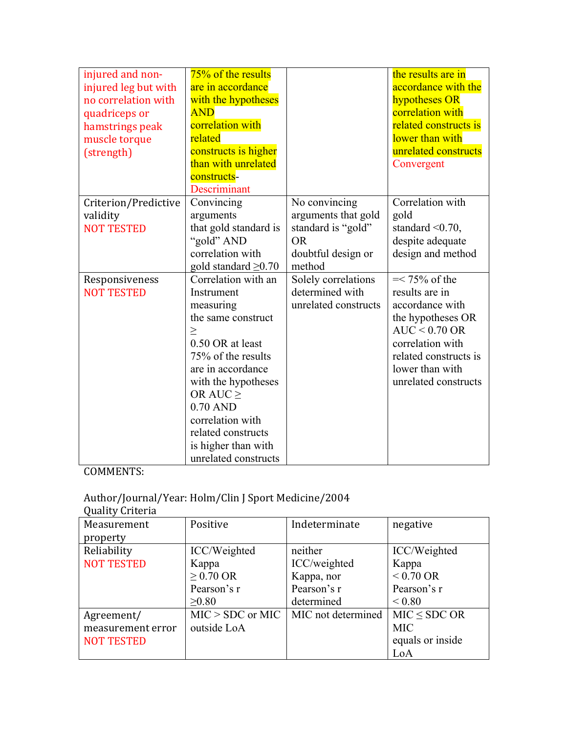| injured and non-<br>injured leg but with<br>no correlation with<br>quadriceps or<br>hamstrings peak<br>muscle torque<br>(strength) | 75% of the results<br>are in accordance<br>with the hypotheses<br><b>AND</b><br>correlation with<br>related<br>constructs is higher<br>than with unrelated<br>constructs-<br>Descriminant                                                                                                    |                                                                                                         | the results are in<br>accordance with the<br>hypotheses OR<br>correlation with<br>related constructs is<br>lower than with<br>unrelated constructs<br>Convergent                      |
|------------------------------------------------------------------------------------------------------------------------------------|----------------------------------------------------------------------------------------------------------------------------------------------------------------------------------------------------------------------------------------------------------------------------------------------|---------------------------------------------------------------------------------------------------------|---------------------------------------------------------------------------------------------------------------------------------------------------------------------------------------|
| Criterion/Predictive<br>validity<br><b>NOT TESTED</b>                                                                              | Convincing<br>arguments<br>that gold standard is<br>"gold" AND<br>correlation with<br>gold standard $\geq 0.70$                                                                                                                                                                              | No convincing<br>arguments that gold<br>standard is "gold"<br><b>OR</b><br>doubtful design or<br>method | Correlation with<br>gold<br>standard $\leq 0.70$ ,<br>despite adequate<br>design and method                                                                                           |
| Responsiveness<br><b>NOT TESTED</b>                                                                                                | Correlation with an<br>Instrument<br>measuring<br>the same construct<br>$\geq$<br>0.50 OR at least<br>75% of the results<br>are in accordance<br>with the hypotheses<br>OR AUC $\geq$<br>$0.70$ AND<br>correlation with<br>related constructs<br>is higher than with<br>unrelated constructs | Solely correlations<br>determined with<br>unrelated constructs                                          | $=< 75\%$ of the<br>results are in<br>accordance with<br>the hypotheses OR<br>$AUC < 0.70$ OR<br>correlation with<br>related constructs is<br>lower than with<br>unrelated constructs |

#### Author/Journal/Year: Holm/Clin J Sport Medicine/2004

| Quality Criteria  |                    |                    |                     |
|-------------------|--------------------|--------------------|---------------------|
| Measurement       | Positive           | Indeterminate      | negative            |
| property          |                    |                    |                     |
| Reliability       | ICC/Weighted       | neither            | ICC/Weighted        |
| <b>NOT TESTED</b> | Kappa              | ICC/weighted       | Kappa               |
|                   | $\geq$ 0.70 OR     | Kappa, nor         | $< 0.70 \text{ OR}$ |
|                   | Pearson's r        | Pearson's r        | Pearson's r         |
|                   | >0.80              | determined         | ${}_{0.80}$         |
| Agreement/        | $MIC > SDC$ or MIC | MIC not determined | MIC < SDC OR        |
| measurement error | outside LoA        |                    | <b>MIC</b>          |
| <b>NOT TESTED</b> |                    |                    | equals or inside    |
|                   |                    |                    | LoA                 |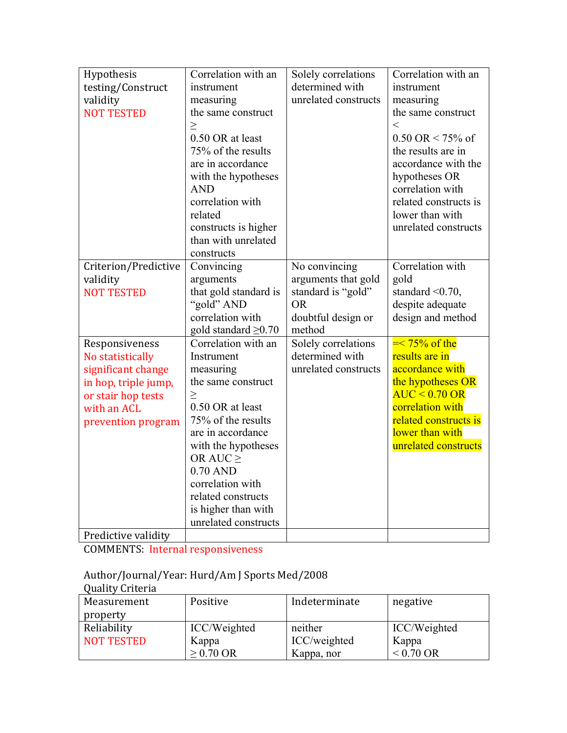| Hypothesis           | Correlation with an       | Solely correlations  | Correlation with an    |
|----------------------|---------------------------|----------------------|------------------------|
| testing/Construct    | instrument                | determined with      | instrument             |
| validity             | measuring                 | unrelated constructs | measuring              |
| <b>NOT TESTED</b>    | the same construct        |                      | the same construct     |
|                      | >                         |                      | $\,<\,$                |
|                      | 0.50 OR at least          |                      | $0.50$ OR < 75% of     |
|                      | 75% of the results        |                      | the results are in     |
|                      | are in accordance         |                      | accordance with the    |
|                      | with the hypotheses       |                      | hypotheses OR          |
|                      | <b>AND</b>                |                      | correlation with       |
|                      | correlation with          |                      | related constructs is  |
|                      | related                   |                      | lower than with        |
|                      | constructs is higher      |                      | unrelated constructs   |
|                      | than with unrelated       |                      |                        |
|                      | constructs                |                      |                        |
| Criterion/Predictive | Convincing                | No convincing        | Correlation with       |
| validity             | arguments                 | arguments that gold  | gold                   |
| <b>NOT TESTED</b>    | that gold standard is     | standard is "gold"   | standard $\leq 0.70$ , |
|                      | "gold" AND                | <b>OR</b>            | despite adequate       |
|                      | correlation with          | doubtful design or   | design and method      |
|                      | gold standard $\geq 0.70$ | method               |                        |
| Responsiveness       | Correlation with an       | Solely correlations  | $\equiv 75\%$ of the   |
| No statistically     | Instrument                | determined with      | results are in         |
| significant change   | measuring                 | unrelated constructs | accordance with        |
| in hop, triple jump, | the same construct        |                      | the hypotheses OR      |
| or stair hop tests   | $\geq$                    |                      | $AUC < 0.70$ OR        |
| with an ACL          | 0.50 OR at least          |                      | correlation with       |
| prevention program   | 75% of the results        |                      | related constructs is  |
|                      | are in accordance         |                      | lower than with        |
|                      | with the hypotheses       |                      | unrelated constructs   |
|                      | OR AUC $\geq$             |                      |                        |
|                      | $0.70$ AND                |                      |                        |
|                      | correlation with          |                      |                        |
|                      | related constructs        |                      |                        |
|                      | is higher than with       |                      |                        |
|                      | unrelated constructs      |                      |                        |
| Predictive validity  |                           |                      |                        |

COMMENTS: Internal responsiveness

#### Author/Journal/Year: Hurd/Am J Sports Med/2008

| Quality Criteria  |              |               |                     |
|-------------------|--------------|---------------|---------------------|
| Measurement       | Positive     | Indeterminate | negative            |
| property          |              |               |                     |
| Reliability       | ICC/Weighted | neither       | ICC/Weighted        |
| <b>NOT TESTED</b> | Kappa        | ICC/weighted  | Kappa               |
|                   | $> 0.70$ OR  | Kappa, nor    | $< 0.70 \text{ OR}$ |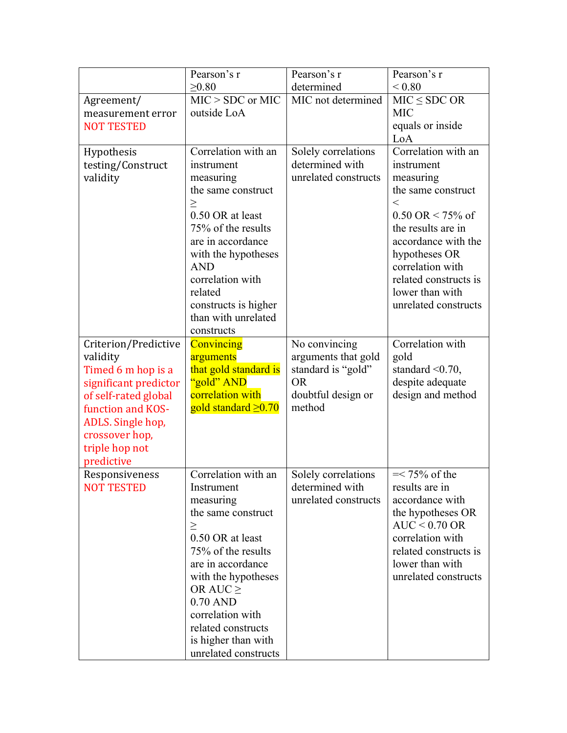|                                  | Pearson's r                              | Pearson's r                  | Pearson's r                          |
|----------------------------------|------------------------------------------|------------------------------|--------------------------------------|
|                                  | $\geq 0.80$                              | determined                   | ${}_{0.80}$                          |
| Agreement/                       | $MIC > SDC$ or MIC                       | MIC not determined           | $MIC \le SDC OR$                     |
| measurement error                | outside LoA                              |                              | <b>MIC</b>                           |
| <b>NOT TESTED</b>                |                                          |                              | equals or inside                     |
|                                  |                                          |                              | LoA                                  |
| Hypothesis                       | Correlation with an                      | Solely correlations          | Correlation with an                  |
| testing/Construct                | instrument                               | determined with              | instrument                           |
| validity                         | measuring                                | unrelated constructs         | measuring                            |
|                                  | the same construct                       |                              | the same construct                   |
|                                  | $\geq$                                   |                              | $\,<\,$                              |
|                                  | 0.50 OR at least                         |                              | $0.50 \text{ OR} < 75\% \text{ of}$  |
|                                  | 75% of the results                       |                              | the results are in                   |
|                                  | are in accordance<br>with the hypotheses |                              | accordance with the<br>hypotheses OR |
|                                  | <b>AND</b>                               |                              | correlation with                     |
|                                  | correlation with                         |                              | related constructs is                |
|                                  | related                                  |                              | lower than with                      |
|                                  | constructs is higher                     |                              | unrelated constructs                 |
|                                  | than with unrelated                      |                              |                                      |
|                                  | constructs                               |                              |                                      |
| Criterion/Predictive             | Convincing                               | No convincing                | Correlation with                     |
| validity                         | arguments                                | arguments that gold          | gold                                 |
| Timed 6 m hop is a               | that gold standard is                    | standard is "gold"           | standard $\leq 0.70$ ,               |
| significant predictor            | "gold" AND                               | <b>OR</b>                    | despite adequate                     |
| of self-rated global             | correlation with                         | doubtful design or<br>method | design and method                    |
| function and KOS-                | gold standard $\geq 0.70$                |                              |                                      |
| ADLS. Single hop,                |                                          |                              |                                      |
| crossover hop,<br>triple hop not |                                          |                              |                                      |
| predictive                       |                                          |                              |                                      |
| Responsiveness                   | Correlation with an                      | Solely correlations          | $=< 75\%$ of the                     |
| <b>NOT TESTED</b>                | Instrument                               | determined with              | results are in                       |
|                                  | measuring                                | unrelated constructs         | accordance with                      |
|                                  | the same construct                       |                              | the hypotheses OR                    |
|                                  | $\geq$                                   |                              | $AUC < 0.70$ OR                      |
|                                  | 0.50 OR at least                         |                              | correlation with                     |
|                                  | 75% of the results                       |                              | related constructs is                |
|                                  | are in accordance                        |                              | lower than with                      |
|                                  | with the hypotheses                      |                              | unrelated constructs                 |
|                                  | OR AUC $\geq$                            |                              |                                      |
|                                  | $0.70$ AND                               |                              |                                      |
|                                  | correlation with<br>related constructs   |                              |                                      |
|                                  | is higher than with                      |                              |                                      |
|                                  | unrelated constructs                     |                              |                                      |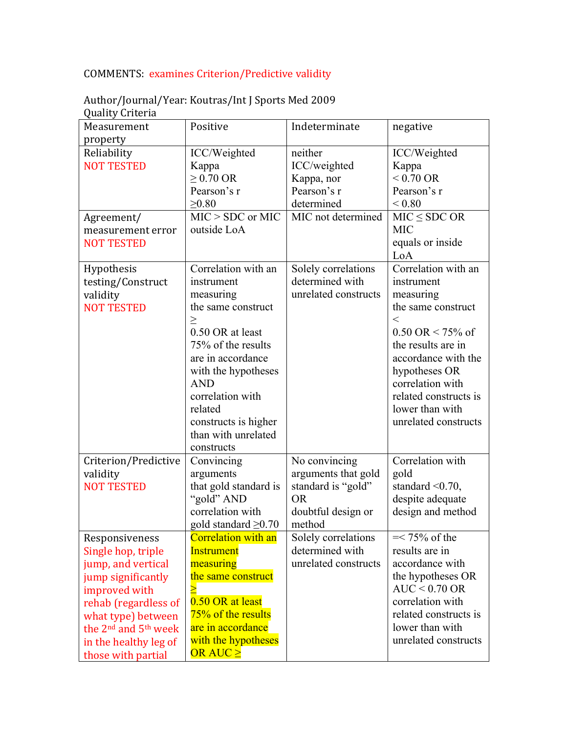# COMMENTS: examines Criterion/Predictive validity

| $\epsilon$ added to $\epsilon$<br>Measurement                                                                                                                                                                                                  | Positive                                                                                                                                                                                                                                                                       | Indeterminate                                                                                           | negative                                                                                                                                                                                                                                                                     |
|------------------------------------------------------------------------------------------------------------------------------------------------------------------------------------------------------------------------------------------------|--------------------------------------------------------------------------------------------------------------------------------------------------------------------------------------------------------------------------------------------------------------------------------|---------------------------------------------------------------------------------------------------------|------------------------------------------------------------------------------------------------------------------------------------------------------------------------------------------------------------------------------------------------------------------------------|
| property<br>Reliability<br><b>NOT TESTED</b>                                                                                                                                                                                                   | ICC/Weighted<br>Kappa<br>$\geq$ 0.70 OR<br>Pearson's r<br>$\geq 0.80$                                                                                                                                                                                                          | neither<br>ICC/weighted<br>Kappa, nor<br>Pearson's r<br>determined                                      | ICC/Weighted<br>Kappa<br>$< 0.70 \text{ OR}$<br>Pearson's r<br>${}_{0.80}$                                                                                                                                                                                                   |
| Agreement/<br>measurement error<br><b>NOT TESTED</b>                                                                                                                                                                                           | $MIC > SDC$ or MIC<br>outside LoA                                                                                                                                                                                                                                              | MIC not determined                                                                                      | $MIC \le SDC OR$<br><b>MIC</b><br>equals or inside<br>LoA                                                                                                                                                                                                                    |
| Hypothesis<br>testing/Construct<br>validity<br><b>NOT TESTED</b>                                                                                                                                                                               | Correlation with an<br>instrument<br>measuring<br>the same construct<br>$\geq$<br>0.50 OR at least<br>75% of the results<br>are in accordance<br>with the hypotheses<br><b>AND</b><br>correlation with<br>related<br>constructs is higher<br>than with unrelated<br>constructs | Solely correlations<br>determined with<br>unrelated constructs                                          | Correlation with an<br>instrument<br>measuring<br>the same construct<br>$\,<\,$<br>$0.50 \text{ OR} < 75\% \text{ of}$<br>the results are in<br>accordance with the<br>hypotheses OR<br>correlation with<br>related constructs is<br>lower than with<br>unrelated constructs |
| Criterion/Predictive<br>validity<br><b>NOT TESTED</b>                                                                                                                                                                                          | Convincing<br>arguments<br>that gold standard is<br>"gold" AND<br>correlation with<br>gold standard $\geq 0.70$                                                                                                                                                                | No convincing<br>arguments that gold<br>standard is "gold"<br><b>OR</b><br>doubtful design or<br>method | Correlation with<br>gold<br>standard $\leq 0.70$ ,<br>despite adequate<br>design and method                                                                                                                                                                                  |
| Responsiveness<br>Single hop, triple<br>jump, and vertical<br>jump significantly<br>improved with<br>rehab (regardless of<br>what type) between<br>the 2 <sup>nd</sup> and 5 <sup>th</sup> week<br>in the healthy leg of<br>those with partial | <b>Correlation with an</b><br><b>Instrument</b><br>measuring<br>the same construct<br>$\geq$<br>0.50 OR at least<br>75% of the results<br>are in accordance<br>with the hypotheses<br>OR AUC $\geq$                                                                            | Solely correlations<br>determined with<br>unrelated constructs                                          | $=< 75\%$ of the<br>results are in<br>accordance with<br>the hypotheses OR<br>$AUC < 0.70$ OR<br>correlation with<br>related constructs is<br>lower than with<br>unrelated constructs                                                                                        |

### Author/Journal/Year: Koutras/Int J Sports Med 2009 Quality Criteria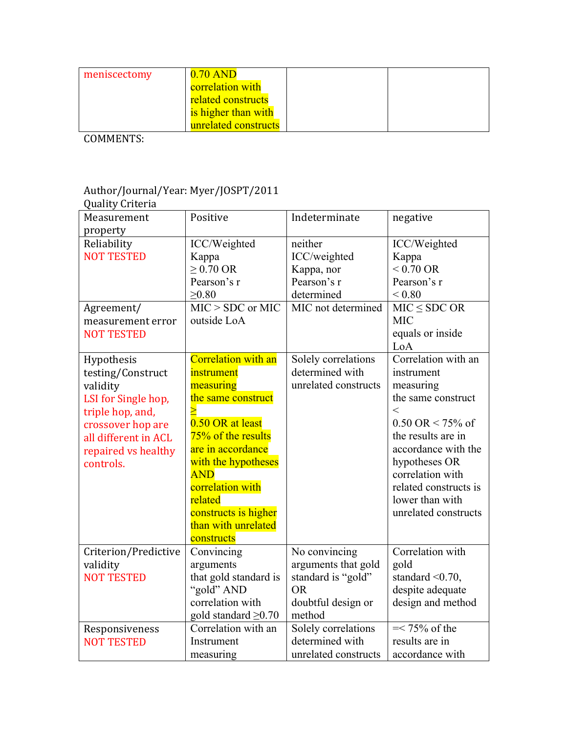| meniscectomy | $0.70$ AND              |
|--------------|-------------------------|
|              | <b>correlation</b> with |
|              | related constructs      |
|              | is higher than with     |
|              | unrelated constructs    |

### Author/Journal/Year: Myer/JOSPT/2011

| <b>Quality Criteria</b>                                                                                                                                                 |                                                                                                                                                                                                                                                                      |                                                                                                         |                                                                                                                                                                                                                                                             |
|-------------------------------------------------------------------------------------------------------------------------------------------------------------------------|----------------------------------------------------------------------------------------------------------------------------------------------------------------------------------------------------------------------------------------------------------------------|---------------------------------------------------------------------------------------------------------|-------------------------------------------------------------------------------------------------------------------------------------------------------------------------------------------------------------------------------------------------------------|
| Measurement<br>property                                                                                                                                                 | Positive                                                                                                                                                                                                                                                             | Indeterminate                                                                                           | negative                                                                                                                                                                                                                                                    |
| Reliability<br><b>NOT TESTED</b><br>Agreement/<br>measurement error<br><b>NOT TESTED</b>                                                                                | ICC/Weighted<br>Kappa<br>$\geq$ 0.70 OR<br>Pearson's r<br>$\geq 0.80$<br>$MIC > SDC$ or MIC<br>outside LoA                                                                                                                                                           | neither<br>ICC/weighted<br>Kappa, nor<br>Pearson's r<br>determined<br>MIC not determined                | ICC/Weighted<br>Kappa<br>$< 0.70 \text{ OR}$<br>Pearson's r<br>${}_{< 0.80}$<br>$MIC \leq SDC OR$<br><b>MIC</b><br>equals or inside<br>LoA                                                                                                                  |
| Hypothesis<br>testing/Construct<br>validity<br>LSI for Single hop,<br>triple hop, and,<br>crossover hop are<br>all different in ACL<br>repaired vs healthy<br>controls. | Correlation with an<br>instrument<br>measuring<br>the same construct<br>0.50 OR at least<br>75% of the results<br>are in accordance<br>with the hypotheses<br><b>AND</b><br>correlation with<br>related<br>constructs is higher<br>than with unrelated<br>constructs | Solely correlations<br>determined with<br>unrelated constructs                                          | Correlation with an<br>instrument<br>measuring<br>the same construct<br>$\,<\,$<br>$0.50$ OR < 75% of<br>the results are in<br>accordance with the<br>hypotheses OR<br>correlation with<br>related constructs is<br>lower than with<br>unrelated constructs |
| Criterion/Predictive<br>validity<br><b>NOT TESTED</b>                                                                                                                   | Convincing<br>arguments<br>that gold standard is<br>"gold" AND<br>correlation with<br>gold standard $\geq 0.70$                                                                                                                                                      | No convincing<br>arguments that gold<br>standard is "gold"<br><b>OR</b><br>doubtful design or<br>method | Correlation with<br>gold<br>standard $\leq 0.70$ ,<br>despite adequate<br>design and method                                                                                                                                                                 |
| Responsiveness<br><b>NOT TESTED</b>                                                                                                                                     | Correlation with an<br>Instrument<br>measuring                                                                                                                                                                                                                       | Solely correlations<br>determined with<br>unrelated constructs                                          | $=< 75\%$ of the<br>results are in<br>accordance with                                                                                                                                                                                                       |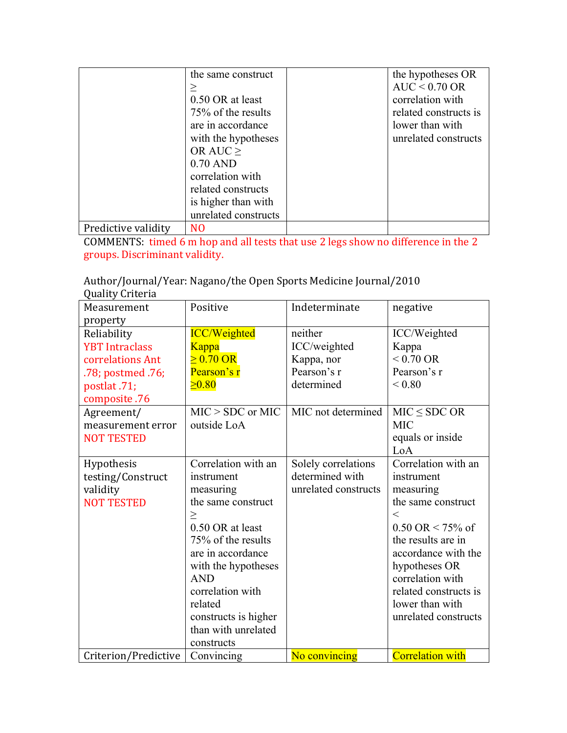|                     | the same construct   | the hypotheses OR     |
|---------------------|----------------------|-----------------------|
|                     |                      | $AUC < 0.70$ OR       |
|                     | 0.50 OR at least     | correlation with      |
|                     | 75% of the results   | related constructs is |
|                     | are in accordance    | lower than with       |
|                     | with the hypotheses  | unrelated constructs  |
|                     | OR AUC $\geq$        |                       |
|                     | $0.70$ AND           |                       |
|                     | correlation with     |                       |
|                     | related constructs   |                       |
|                     | is higher than with  |                       |
|                     | unrelated constructs |                       |
| Predictive validity | N <sub>O</sub>       |                       |

COMMENTS: timed 6 m hop and all tests that use 2 legs show no difference in the 2 groups. Discriminant validity.

Author/Journal/Year: Nagano/the Open Sports Medicine Journal/2010 Quality Criteria

| guanty Grittina       |                      |                      |                                     |
|-----------------------|----------------------|----------------------|-------------------------------------|
| Measurement           | Positive             | Indeterminate        | negative                            |
| property              |                      |                      |                                     |
| Reliability           | <b>ICC/Weighted</b>  | neither              | ICC/Weighted                        |
| <b>YBT</b> Intraclass | Kappa                | ICC/weighted         | Kappa                               |
| correlations Ant      | $\geq 0.70$ OR       | Kappa, nor           | $< 0.70 \text{ OR}$                 |
| .78; postmed .76;     | Pearson's r          | Pearson's r          | Pearson's r                         |
| postlat .71;          | $\geq 0.80$          | determined           | ${}_{0.80}$                         |
| composite .76         |                      |                      |                                     |
| Agreement/            | $MIC > SDC$ or $MIC$ | MIC not determined   | $MIC \le SDC OR$                    |
| measurement error     | outside LoA          |                      | <b>MIC</b>                          |
| <b>NOT TESTED</b>     |                      |                      | equals or inside                    |
|                       |                      |                      | LoA                                 |
| Hypothesis            | Correlation with an  | Solely correlations  | Correlation with an                 |
| testing/Construct     | instrument           | determined with      | instrument                          |
| validity              | measuring            | unrelated constructs | measuring                           |
| <b>NOT TESTED</b>     | the same construct   |                      | the same construct                  |
|                       | $\geq$               |                      | $\,<\,$                             |
|                       | 0.50 OR at least     |                      | $0.50 \text{ OR} < 75\% \text{ of}$ |
|                       | 75% of the results   |                      | the results are in                  |
|                       | are in accordance    |                      | accordance with the                 |
|                       | with the hypotheses  |                      | hypotheses OR                       |
|                       | <b>AND</b>           |                      | correlation with                    |
|                       | correlation with     |                      | related constructs is               |
|                       | related              |                      | lower than with                     |
|                       | constructs is higher |                      | unrelated constructs                |
|                       | than with unrelated  |                      |                                     |
|                       | constructs           |                      |                                     |
| Criterion/Predictive  | Convincing           | No convincing        | <b>Correlation with</b>             |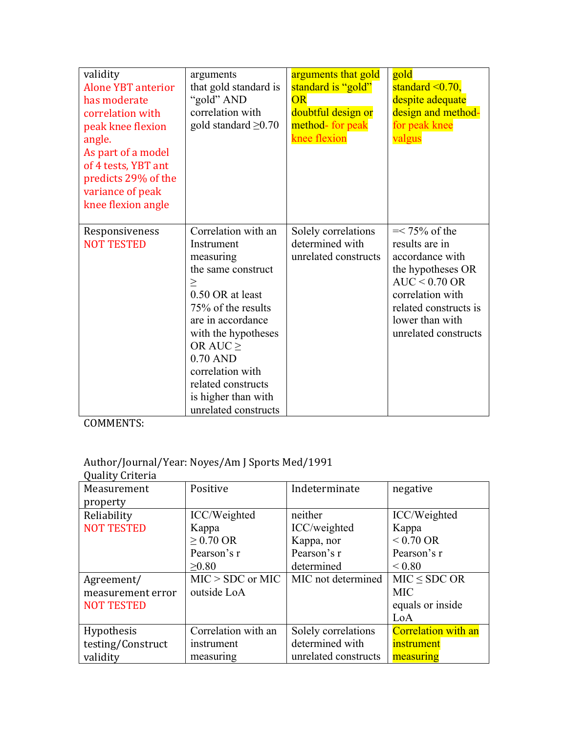| validity<br><b>Alone YBT anterior</b><br>has moderate<br>correlation with<br>peak knee flexion<br>angle.<br>As part of a model<br>of 4 tests, YBT ant<br>predicts 29% of the<br>variance of peak<br>knee flexion angle | arguments<br>that gold standard is<br>"gold" AND<br>correlation with<br>gold standard $\geq 0.70$                                                                                                                                                                                            | arguments that gold<br>standard is "gold"<br><b>OR</b><br>doubtful design or<br>method- for peak<br>knee flexion | gold<br>standard $\leq 0.70$ ,<br>despite adequate<br>design and method-<br>for peak knee<br>valgus                                                                                   |
|------------------------------------------------------------------------------------------------------------------------------------------------------------------------------------------------------------------------|----------------------------------------------------------------------------------------------------------------------------------------------------------------------------------------------------------------------------------------------------------------------------------------------|------------------------------------------------------------------------------------------------------------------|---------------------------------------------------------------------------------------------------------------------------------------------------------------------------------------|
| Responsiveness<br><b>NOT TESTED</b>                                                                                                                                                                                    | Correlation with an<br>Instrument<br>measuring<br>the same construct<br>$\geq$<br>0.50 OR at least<br>75% of the results<br>are in accordance<br>with the hypotheses<br>OR AUC $\geq$<br>$0.70$ AND<br>correlation with<br>related constructs<br>is higher than with<br>unrelated constructs | Solely correlations<br>determined with<br>unrelated constructs                                                   | $=< 75\%$ of the<br>results are in<br>accordance with<br>the hypotheses OR<br>$AUC < 0.70$ OR<br>correlation with<br>related constructs is<br>lower than with<br>unrelated constructs |

# Author/Journal/Year: Noyes/Am J Sports Med/1991

| <b>Quality Criteria</b> |                     |                      |                            |
|-------------------------|---------------------|----------------------|----------------------------|
| Measurement             | Positive            | Indeterminate        | negative                   |
| property                |                     |                      |                            |
| Reliability             | ICC/Weighted        | neither              | ICC/Weighted               |
| <b>NOT TESTED</b>       | Kappa               | ICC/weighted         | Kappa                      |
|                         | $\geq$ 0.70 OR      | Kappa, nor           | $< 0.70 \text{ OR}$        |
|                         | Pearson's r         | Pearson's r          | Pearson's r                |
|                         | >0.80               | determined           | ${}_{0.80}$                |
| Agreement/              | $MIC > SDC$ or MIC  | MIC not determined   | $MIC \le SDC OR$           |
| measurement error       | outside LoA         |                      | <b>MIC</b>                 |
| <b>NOT TESTED</b>       |                     |                      | equals or inside           |
|                         |                     |                      | LoA                        |
| Hypothesis              | Correlation with an | Solely correlations  | <b>Correlation with an</b> |
| testing/Construct       | instrument          | determined with      | instrument                 |
| validity                | measuring           | unrelated constructs | measuring                  |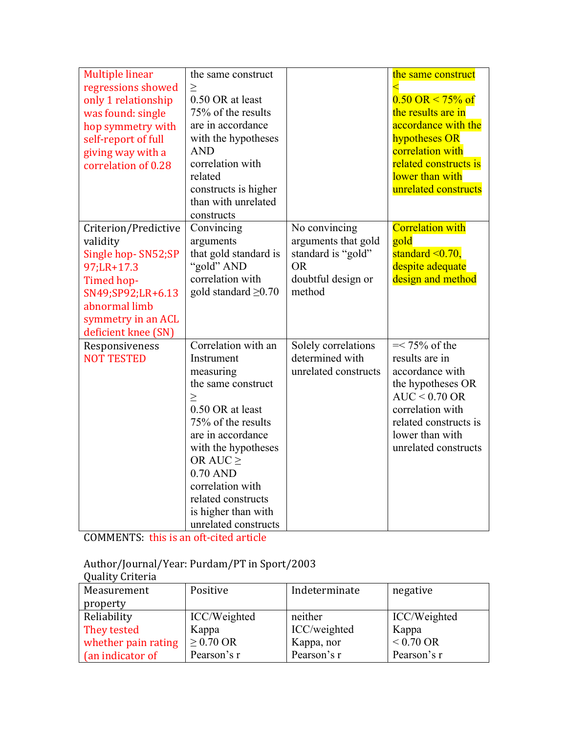| <b>Multiple linear</b><br>regressions showed<br>only 1 relationship<br>was found: single<br>hop symmetry with<br>self-report of full<br>giving way with a<br>correlation of 0.28 | the same construct<br>$\geq$<br>0.50 OR at least<br>75% of the results<br>are in accordance<br>with the hypotheses<br><b>AND</b><br>correlation with<br>related<br>constructs is higher<br>than with unrelated<br>constructs                                                                 |                                                                                                         | the same construct<br>$0.50 \text{ OR} \le 75\% \text{ of}$<br>the results are in<br>accordance with the<br>hypotheses OR<br>correlation with<br>related constructs is<br>lower than with<br>unrelated constructs |
|----------------------------------------------------------------------------------------------------------------------------------------------------------------------------------|----------------------------------------------------------------------------------------------------------------------------------------------------------------------------------------------------------------------------------------------------------------------------------------------|---------------------------------------------------------------------------------------------------------|-------------------------------------------------------------------------------------------------------------------------------------------------------------------------------------------------------------------|
| Criterion/Predictive<br>validity<br>Single hop-SN52;SP<br>97;LR+17.3<br>Timed hop-<br>SN49;SP92;LR+6.13<br>abnormal limb<br>symmetry in an ACL<br>deficient knee (SN)            | Convincing<br>arguments<br>that gold standard is<br>"gold" AND<br>correlation with<br>gold standard $\geq 0.70$                                                                                                                                                                              | No convincing<br>arguments that gold<br>standard is "gold"<br><b>OR</b><br>doubtful design or<br>method | <b>Correlation with</b><br>gold<br>standard $\leq 0.70$ ,<br>despite adequate<br>design and method                                                                                                                |
| Responsiveness<br><b>NOT TESTED</b>                                                                                                                                              | Correlation with an<br>Instrument<br>measuring<br>the same construct<br>$\geq$<br>0.50 OR at least<br>75% of the results<br>are in accordance<br>with the hypotheses<br>OR AUC $\geq$<br>$0.70$ AND<br>correlation with<br>related constructs<br>is higher than with<br>unrelated constructs | Solely correlations<br>determined with<br>unrelated constructs                                          | $=< 75\%$ of the<br>results are in<br>accordance with<br>the hypotheses OR<br>$AUC < 0.70$ OR<br>correlation with<br>related constructs is<br>lower than with<br>unrelated constructs                             |

COMMENTS: this is an oft-cited article

Author/Journal/Year: Purdam/PT in Sport/2003

| <b>Quality Criteria</b> |              |               |              |
|-------------------------|--------------|---------------|--------------|
| Measurement             | Positive     | Indeterminate | negative     |
| property                |              |               |              |
| Reliability             | ICC/Weighted | neither       | ICC/Weighted |
| They tested             | Kappa        | ICC/weighted  | Kappa        |
| whether pain rating     | $> 0.70$ OR  | Kappa, nor    | $< 0.70$ OR  |
| (an indicator of        | Pearson's r  | Pearson's r   | Pearson's r  |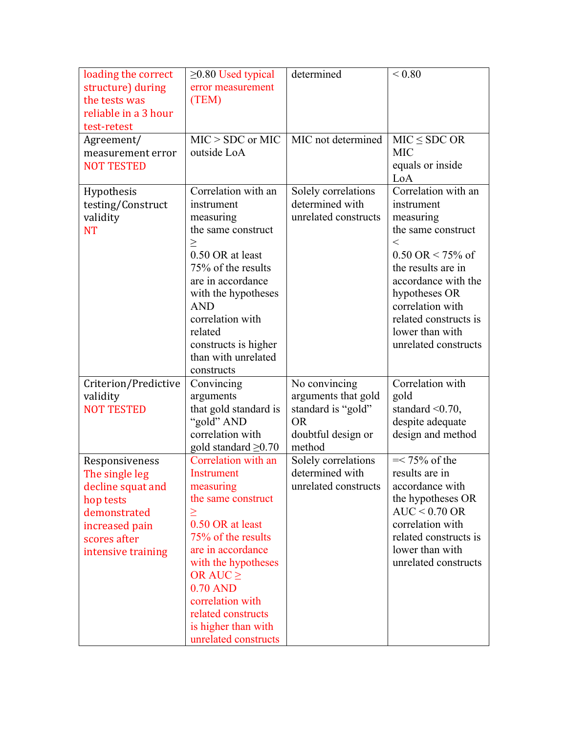| loading the correct<br>structure) during<br>the tests was<br>reliable in a 3 hour<br>test-retest                                           | $\geq$ 0.80 Used typical<br>error measurement<br>(TEM)                                                                                                                                                                                                                                              | determined                                                                                              | ${}_{0.80}$                                                                                                                                                                                                                                                                  |
|--------------------------------------------------------------------------------------------------------------------------------------------|-----------------------------------------------------------------------------------------------------------------------------------------------------------------------------------------------------------------------------------------------------------------------------------------------------|---------------------------------------------------------------------------------------------------------|------------------------------------------------------------------------------------------------------------------------------------------------------------------------------------------------------------------------------------------------------------------------------|
| Agreement/<br>measurement error<br><b>NOT TESTED</b>                                                                                       | $MIC > SDC$ or MIC<br>outside LoA                                                                                                                                                                                                                                                                   | MIC not determined                                                                                      | $MIC \le SDC OR$<br><b>MIC</b><br>equals or inside<br>LoA                                                                                                                                                                                                                    |
| Hypothesis<br>testing/Construct<br>validity<br><b>NT</b>                                                                                   | Correlation with an<br>instrument<br>measuring<br>the same construct<br>$\geq$<br>0.50 OR at least<br>75% of the results<br>are in accordance<br>with the hypotheses<br><b>AND</b><br>correlation with<br>related<br>constructs is higher<br>than with unrelated<br>constructs                      | Solely correlations<br>determined with<br>unrelated constructs                                          | Correlation with an<br>instrument<br>measuring<br>the same construct<br>$\,<\,$<br>$0.50 \text{ OR} < 75\% \text{ of}$<br>the results are in<br>accordance with the<br>hypotheses OR<br>correlation with<br>related constructs is<br>lower than with<br>unrelated constructs |
| Criterion/Predictive<br>validity<br><b>NOT TESTED</b>                                                                                      | Convincing<br>arguments<br>that gold standard is<br>"gold" AND<br>correlation with<br>gold standard $\geq 0.70$                                                                                                                                                                                     | No convincing<br>arguments that gold<br>standard is "gold"<br><b>OR</b><br>doubtful design or<br>method | Correlation with<br>gold<br>standard $\leq 0.70$ ,<br>despite adequate<br>design and method                                                                                                                                                                                  |
| Responsiveness<br>The single leg<br>decline squat and<br>hop tests<br>demonstrated<br>increased pain<br>scores after<br>intensive training | Correlation with an<br><b>Instrument</b><br>measuring<br>the same construct<br>$\geq$<br>0.50 OR at least<br>75% of the results<br>are in accordance<br>with the hypotheses<br>OR AUC $\geq$<br>$0.70$ AND<br>correlation with<br>related constructs<br>is higher than with<br>unrelated constructs | Solely correlations<br>determined with<br>unrelated constructs                                          | $=< 75\%$ of the<br>results are in<br>accordance with<br>the hypotheses OR<br>$AUC < 0.70$ OR<br>correlation with<br>related constructs is<br>lower than with<br>unrelated constructs                                                                                        |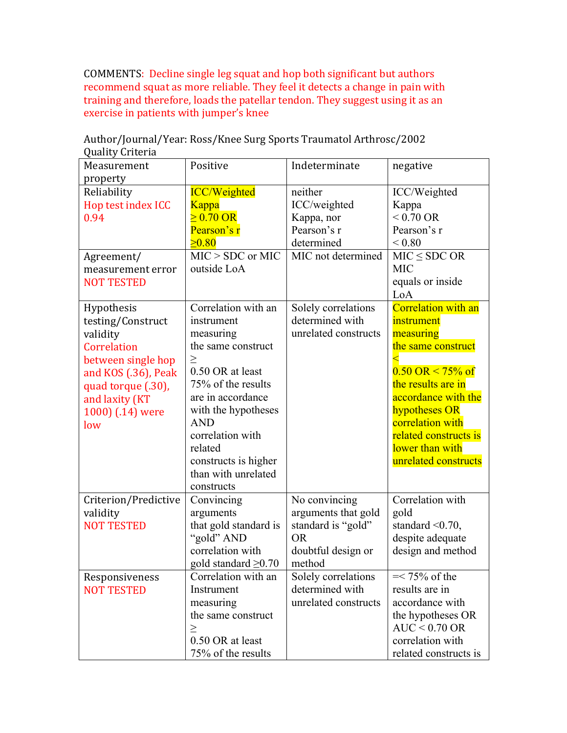COMMENTS: Decline single leg squat and hop both significant but authors recommend squat as more reliable. They feel it detects a change in pain with training and therefore, loads the patellar tendon. They suggest using it as an exercise in patients with jumper's knee

| Measurement          | Positive                  | Indeterminate        | negative                            |
|----------------------|---------------------------|----------------------|-------------------------------------|
| property             |                           |                      |                                     |
| Reliability          | <b>ICC/Weighted</b>       | neither              | ICC/Weighted                        |
| Hop test index ICC   | <b>Kappa</b>              | ICC/weighted         | Kappa                               |
| 0.94                 | $\geq 0.70$ OR            | Kappa, nor           | $< 0.70 \text{ OR}$                 |
|                      | Pearson's r               | Pearson's r          | Pearson's r                         |
|                      | $\geq 0.80$               | determined           | ${}_{0.80}$                         |
| Agreement/           | $MIC > SDC$ or MIC        | MIC not determined   | $MIC \leq SDC OR$                   |
| measurement error    | outside LoA               |                      | <b>MIC</b>                          |
| <b>NOT TESTED</b>    |                           |                      | equals or inside                    |
|                      |                           |                      | LoA                                 |
| Hypothesis           | Correlation with an       | Solely correlations  | <b>Correlation with an</b>          |
| testing/Construct    | instrument                | determined with      | instrument                          |
| validity             | measuring                 | unrelated constructs | measuring                           |
| Correlation          | the same construct        |                      | the same construct                  |
| between single hop   | $\geq$                    |                      |                                     |
| and KOS (.36), Peak  | 0.50 OR at least          |                      | $0.50 \text{ OR} < 75\% \text{ of}$ |
| quad torque (.30),   | 75% of the results        |                      | the results are in                  |
| and laxity (KT       | are in accordance         |                      | accordance with the                 |
| 1000) (.14) were     | with the hypotheses       |                      | hypotheses OR                       |
| low                  | <b>AND</b>                |                      | correlation with                    |
|                      | correlation with          |                      | related constructs is               |
|                      | related                   |                      | lower than with                     |
|                      | constructs is higher      |                      | unrelated constructs                |
|                      | than with unrelated       |                      |                                     |
|                      | constructs                |                      |                                     |
| Criterion/Predictive | Convincing                | No convincing        | Correlation with                    |
| validity             | arguments                 | arguments that gold  | gold                                |
| <b>NOT TESTED</b>    | that gold standard is     | standard is "gold"   | standard $\leq 0.70$ ,              |
|                      | "gold" AND                | <b>OR</b>            | despite adequate                    |
|                      | correlation with          | doubtful design or   | design and method                   |
|                      | gold standard $\geq 0.70$ | method               |                                     |
| Responsiveness       | Correlation with an       | Solely correlations  | $=< 75\%$ of the                    |
| <b>NOT TESTED</b>    | Instrument                | determined with      | results are in                      |
|                      | measuring                 | unrelated constructs | accordance with                     |
|                      | the same construct        |                      | the hypotheses OR                   |
|                      | $\geq$                    |                      | $AUC < 0.70$ OR                     |
|                      | 0.50 OR at least          |                      | correlation with                    |
|                      | 75% of the results        |                      | related constructs is               |

Author/Journal/Year: Ross/Knee Surg Sports Traumatol Arthrosc/2002 Quality Criteria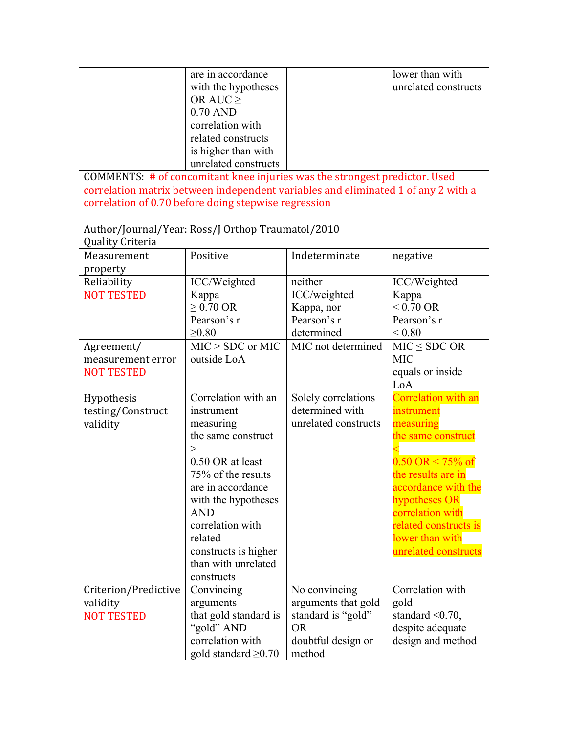| are in accordance    | lower than with      |
|----------------------|----------------------|
| with the hypotheses  | unrelated constructs |
| OR AUC $\geq$        |                      |
| $0.70$ AND           |                      |
| correlation with     |                      |
| related constructs   |                      |
| is higher than with  |                      |
| unrelated constructs |                      |

COMMENTS: # of concomitant knee injuries was the strongest predictor. Used correlation matrix between independent variables and eliminated 1 of any 2 with a correlation of 0.70 before doing stepwise regression

Author/Journal/Year: Ross/J Orthop Traumatol/2010 Quality Criteria

| Measurement<br>property                               | Positive                                                                                                                                                                                                                                                                       | Indeterminate                                                                                           | negative                                                                                                                                                                                                                                                          |
|-------------------------------------------------------|--------------------------------------------------------------------------------------------------------------------------------------------------------------------------------------------------------------------------------------------------------------------------------|---------------------------------------------------------------------------------------------------------|-------------------------------------------------------------------------------------------------------------------------------------------------------------------------------------------------------------------------------------------------------------------|
| Reliability<br><b>NOT TESTED</b>                      | ICC/Weighted<br>Kappa<br>$\geq$ 0.70 OR<br>Pearson's r<br>$\geq 0.80$                                                                                                                                                                                                          | neither<br>ICC/weighted<br>Kappa, nor<br>Pearson's r<br>determined                                      | ICC/Weighted<br>Kappa<br>$< 0.70 \text{ OR}$<br>Pearson's r<br>${}_{< 0.80}$                                                                                                                                                                                      |
| Agreement/<br>measurement error<br><b>NOT TESTED</b>  | $MIC > SDC$ or $MIC$<br>outside LoA                                                                                                                                                                                                                                            | MIC not determined                                                                                      | $MIC \le SDC OR$<br><b>MIC</b><br>equals or inside<br>LoA                                                                                                                                                                                                         |
| Hypothesis<br>testing/Construct<br>validity           | Correlation with an<br>instrument<br>measuring<br>the same construct<br>$\geq$<br>0.50 OR at least<br>75% of the results<br>are in accordance<br>with the hypotheses<br><b>AND</b><br>correlation with<br>related<br>constructs is higher<br>than with unrelated<br>constructs | Solely correlations<br>determined with<br>unrelated constructs                                          | Correlation with an<br>instrument<br>measuring<br>the same construct<br>$0.50 \text{ OR} < 75\% \text{ of}$<br>the results are in<br>accordance with the<br>hypotheses OR<br>correlation with<br>related constructs is<br>lower than with<br>unrelated constructs |
| Criterion/Predictive<br>validity<br><b>NOT TESTED</b> | Convincing<br>arguments<br>that gold standard is<br>"gold" AND<br>correlation with<br>gold standard $\geq 0.70$                                                                                                                                                                | No convincing<br>arguments that gold<br>standard is "gold"<br><b>OR</b><br>doubtful design or<br>method | Correlation with<br>gold<br>standard $\leq 0.70$ ,<br>despite adequate<br>design and method                                                                                                                                                                       |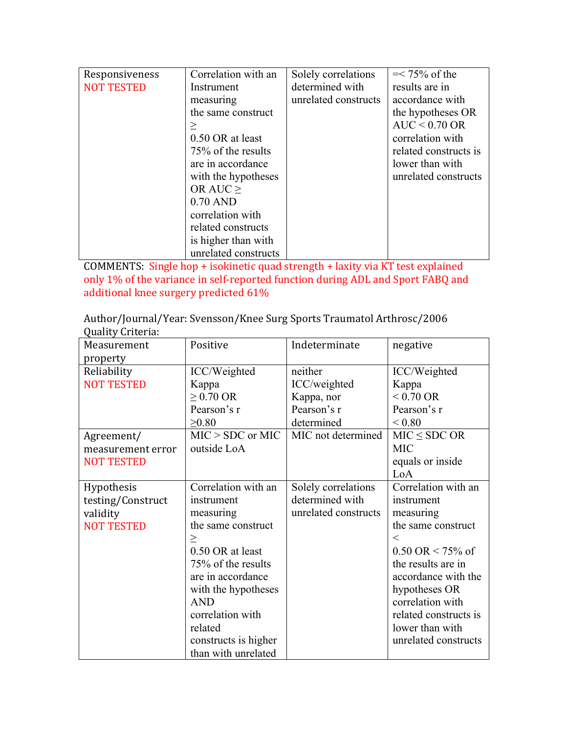| Responsiveness    | Correlation with an  | Solely correlations  | $=< 75\%$ of the      |
|-------------------|----------------------|----------------------|-----------------------|
| <b>NOT TESTED</b> | Instrument           | determined with      | results are in        |
|                   | measuring            | unrelated constructs | accordance with       |
|                   | the same construct   |                      | the hypotheses OR     |
|                   |                      |                      | $AUC < 0.70$ OR       |
|                   | 0.50 OR at least     |                      | correlation with      |
|                   | 75% of the results   |                      | related constructs is |
|                   | are in accordance    |                      | lower than with       |
|                   | with the hypotheses  |                      | unrelated constructs  |
|                   | OR AUC $>$           |                      |                       |
|                   | $0.70$ AND           |                      |                       |
|                   | correlation with     |                      |                       |
|                   | related constructs   |                      |                       |
|                   | is higher than with  |                      |                       |
|                   | unrelated constructs |                      |                       |

COMMENTS: Single hop + isokinetic quad strength + laxity via KT test explained only 1% of the variance in self-reported function during ADL and Sport FABQ and additional knee surgery predicted 61%

Author/Journal/Year: Svensson/Knee Surg Sports Traumatol Arthrosc/2006 Quality Criteria: 

| gaancy oritorial<br>Measurement | Positive             | Indeterminate        | negative              |
|---------------------------------|----------------------|----------------------|-----------------------|
| property                        |                      |                      |                       |
| Reliability                     | ICC/Weighted         | neither              | ICC/Weighted          |
| <b>NOT TESTED</b>               | Kappa                | ICC/weighted         | Kappa                 |
|                                 | $\geq$ 0.70 OR       | Kappa, nor           | $< 0.70 \text{ OR}$   |
|                                 | Pearson's r          | Pearson's r          | Pearson's r           |
|                                 | $\geq 0.80$          | determined           | ${}_{0.80}$           |
| Agreement/                      | $MIC > SDC$ or $MIC$ | MIC not determined   | $MIC \le SDC OR$      |
| measurement error               | outside LoA          |                      | <b>MIC</b>            |
| <b>NOT TESTED</b>               |                      |                      | equals or inside      |
|                                 |                      |                      | LoA                   |
| <b>Hypothesis</b>               | Correlation with an  | Solely correlations  | Correlation with an   |
| testing/Construct               | instrument           | determined with      | instrument            |
| validity                        | measuring            | unrelated constructs | measuring             |
| <b>NOT TESTED</b>               | the same construct   |                      | the same construct    |
|                                 | $\geq$               |                      | $\lt$                 |
|                                 | 0.50 OR at least     |                      | $0.50$ OR < 75% of    |
|                                 | 75% of the results   |                      | the results are in    |
|                                 | are in accordance    |                      | accordance with the   |
|                                 | with the hypotheses  |                      | hypotheses OR         |
|                                 | <b>AND</b>           |                      | correlation with      |
|                                 | correlation with     |                      | related constructs is |
|                                 | related              |                      | lower than with       |
|                                 | constructs is higher |                      | unrelated constructs  |
|                                 | than with unrelated  |                      |                       |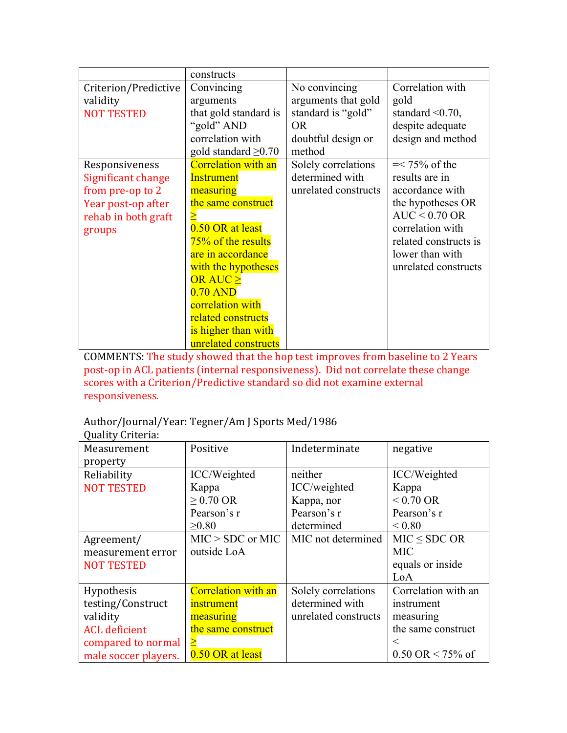|                                                                                                                 | constructs                                                                                                                                                                                                                                                                                       |                                                                                                   |                                                                                                                                                                                       |
|-----------------------------------------------------------------------------------------------------------------|--------------------------------------------------------------------------------------------------------------------------------------------------------------------------------------------------------------------------------------------------------------------------------------------------|---------------------------------------------------------------------------------------------------|---------------------------------------------------------------------------------------------------------------------------------------------------------------------------------------|
| Criterion/Predictive<br>validity<br><b>NOT TESTED</b>                                                           | Convincing<br>arguments<br>that gold standard is<br>"gold" AND<br>correlation with<br>gold standard $\geq 0.70$                                                                                                                                                                                  | No convincing<br>arguments that gold<br>standard is "gold"<br>OR.<br>doubtful design or<br>method | Correlation with<br>gold<br>standard $\leq 0.70$ ,<br>despite adequate<br>design and method                                                                                           |
| Responsiveness<br>Significant change<br>from pre-op to 2<br>Year post-op after<br>rehab in both graft<br>groups | <b>Correlation with an</b><br><b>Instrument</b><br>measuring<br>the same construct<br>0.50 OR at least<br>75% of the results<br>are in accordance<br>with the hypotheses<br>OR AUC $\geq$<br>$0.70$ AND<br>correlation with<br>related constructs<br>is higher than with<br>unrelated constructs | Solely correlations<br>determined with<br>unrelated constructs                                    | $=< 75\%$ of the<br>results are in<br>accordance with<br>the hypotheses OR<br>$AUC < 0.70$ OR<br>correlation with<br>related constructs is<br>lower than with<br>unrelated constructs |

COMMENTS: The study showed that the hop test improves from baseline to 2 Years post-op in ACL patients (internal responsiveness). Did not correlate these change scores with a Criterion/Predictive standard so did not examine external responsiveness.

### Author/Journal/Year: Tegner/Am J Sports Med/1986

# Quality Criteria:

| Measurement          | Positive                   | Indeterminate        | negative                            |
|----------------------|----------------------------|----------------------|-------------------------------------|
| property             |                            |                      |                                     |
| Reliability          | ICC/Weighted               | neither              | ICC/Weighted                        |
| <b>NOT TESTED</b>    | Kappa                      | ICC/weighted         | Kappa                               |
|                      | $\geq$ 0.70 OR             | Kappa, nor           | $< 0.70 \text{ OR}$                 |
|                      | Pearson's r                | Pearson's r          | Pearson's r                         |
|                      | $\geq 0.80$                | determined           | ${}_{0.80}$                         |
| Agreement/           | $MIC > SDC$ or MIC         | MIC not determined   | $MIC \le SDC OR$                    |
| measurement error    | outside LoA                |                      | <b>MIC</b>                          |
| <b>NOT TESTED</b>    |                            |                      | equals or inside                    |
|                      |                            |                      | LoA                                 |
| Hypothesis           | <b>Correlation with an</b> | Solely correlations  | Correlation with an                 |
| testing/Construct    | <i>instrument</i>          | determined with      | instrument                          |
| validity             | measuring                  | unrelated constructs | measuring                           |
| <b>ACL</b> deficient | the same construct         |                      | the same construct                  |
| compared to normal   |                            |                      | $\,<\,$                             |
| male soccer players. | 0.50 OR at least           |                      | $0.50 \text{ OR} < 75\% \text{ of}$ |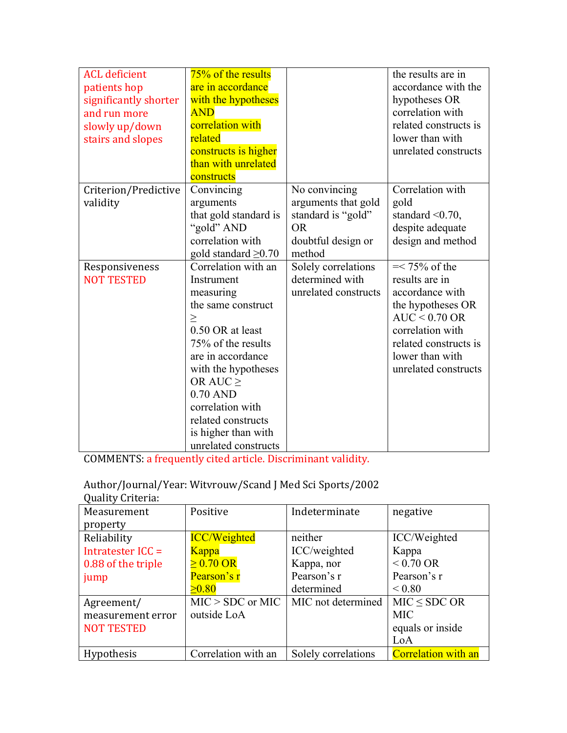| <b>ACL</b> deficient<br>patients hop<br>significantly shorter<br>and run more<br>slowly up/down<br>stairs and slopes | 75% of the results<br>are in accordance<br>with the hypotheses<br><b>AND</b><br>correlation with<br>related<br>constructs is higher<br>than with unrelated<br>constructs                                                                                                                     |                                                                                                         | the results are in<br>accordance with the<br>hypotheses OR<br>correlation with<br>related constructs is<br>lower than with<br>unrelated constructs                                    |
|----------------------------------------------------------------------------------------------------------------------|----------------------------------------------------------------------------------------------------------------------------------------------------------------------------------------------------------------------------------------------------------------------------------------------|---------------------------------------------------------------------------------------------------------|---------------------------------------------------------------------------------------------------------------------------------------------------------------------------------------|
| Criterion/Predictive<br>validity                                                                                     | Convincing<br>arguments<br>that gold standard is<br>"gold" AND<br>correlation with<br>gold standard $\geq 0.70$                                                                                                                                                                              | No convincing<br>arguments that gold<br>standard is "gold"<br><b>OR</b><br>doubtful design or<br>method | Correlation with<br>gold<br>standard $\leq 0.70$ ,<br>despite adequate<br>design and method                                                                                           |
| Responsiveness<br><b>NOT TESTED</b>                                                                                  | Correlation with an<br>Instrument<br>measuring<br>the same construct<br>$\geq$<br>0.50 OR at least<br>75% of the results<br>are in accordance<br>with the hypotheses<br>OR AUC $\geq$<br>$0.70$ AND<br>correlation with<br>related constructs<br>is higher than with<br>unrelated constructs | Solely correlations<br>determined with<br>unrelated constructs                                          | $=< 75\%$ of the<br>results are in<br>accordance with<br>the hypotheses OR<br>$AUC < 0.70$ OR<br>correlation with<br>related constructs is<br>lower than with<br>unrelated constructs |

COMMENTS: a frequently cited article. Discriminant validity.

### Author/Journal/Year: Witvrouw/Scand J Med Sci Sports/2002 Quality Criteria:

| y aanvy arronnai   |                        |                     |                            |
|--------------------|------------------------|---------------------|----------------------------|
| Measurement        | Positive               | Indeterminate       | negative                   |
| property           |                        |                     |                            |
| Reliability        | <b>ICC/Weighted</b>    | neither             | ICC/Weighted               |
| Intratester ICC =  | Kappa                  | ICC/weighted        | Kappa                      |
| 0.88 of the triple | $\geq 0.70 \text{ OR}$ | Kappa, nor          | $< 0.70$ OR                |
| jump               | Pearson's r            | Pearson's r         | Pearson's r                |
|                    | $\geq 0.80$            | determined          | ${}_{0.80}$                |
| Agreement/         | $MIC > SDC$ or MIC     | MIC not determined  | $MIC \le SDC OR$           |
| measurement error  | outside LoA            |                     | <b>MIC</b>                 |
| <b>NOT TESTED</b>  |                        |                     | equals or inside           |
|                    |                        |                     | LoA                        |
| <b>Hypothesis</b>  | Correlation with an    | Solely correlations | <b>Correlation with an</b> |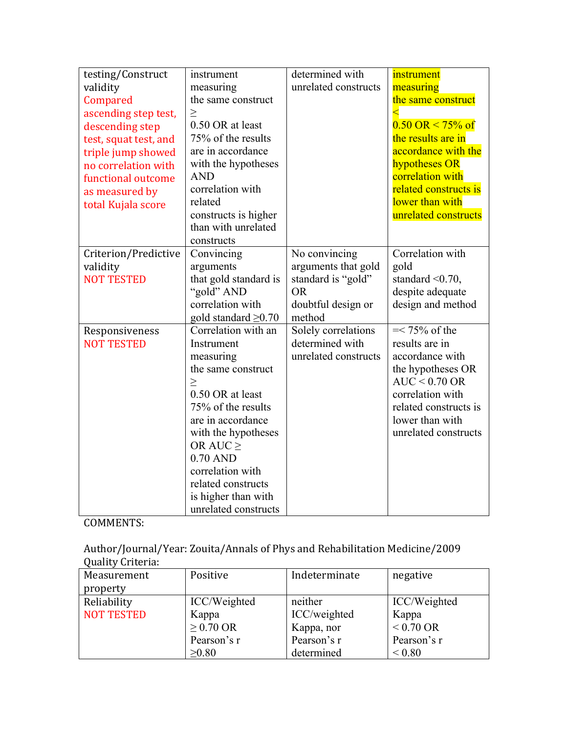| testing/Construct     | instrument                | determined with      | instrument                            |
|-----------------------|---------------------------|----------------------|---------------------------------------|
| validity              | measuring                 | unrelated constructs | measuring                             |
| Compared              | the same construct        |                      | the same construct                    |
| ascending step test,  | $\geq$                    |                      |                                       |
| descending step       | 0.50 OR at least          |                      | $0.50 \text{ OR} \le 75\% \text{ of}$ |
| test, squat test, and | 75% of the results        |                      | the results are in                    |
| triple jump showed    | are in accordance         |                      | accordance with the                   |
| no correlation with   | with the hypotheses       |                      | hypotheses OR                         |
| functional outcome    | <b>AND</b>                |                      | correlation with                      |
| as measured by        | correlation with          |                      | related constructs is                 |
| total Kujala score    | related                   |                      | lower than with                       |
|                       | constructs is higher      |                      | unrelated constructs                  |
|                       | than with unrelated       |                      |                                       |
|                       | constructs                |                      |                                       |
| Criterion/Predictive  | Convincing                | No convincing        | Correlation with                      |
| validity              | arguments                 | arguments that gold  | gold                                  |
| <b>NOT TESTED</b>     | that gold standard is     | standard is "gold"   | standard $\leq 0.70$ ,                |
|                       | "gold" AND                | <b>OR</b>            | despite adequate                      |
|                       | correlation with          | doubtful design or   | design and method                     |
|                       | gold standard $\geq 0.70$ | method               |                                       |
| Responsiveness        | Correlation with an       | Solely correlations  | $=< 75\%$ of the                      |
| <b>NOT TESTED</b>     | Instrument                | determined with      | results are in                        |
|                       | measuring                 | unrelated constructs | accordance with                       |
|                       | the same construct        |                      | the hypotheses OR                     |
|                       | $\geq$                    |                      | $AUC < 0.70$ OR                       |
|                       | 0.50 OR at least          |                      | correlation with                      |
|                       | 75% of the results        |                      | related constructs is                 |
|                       | are in accordance         |                      | lower than with                       |
|                       | with the hypotheses       |                      | unrelated constructs                  |
|                       | OR AUC $\geq$             |                      |                                       |
|                       | $0.70$ AND                |                      |                                       |
|                       | correlation with          |                      |                                       |
|                       | related constructs        |                      |                                       |
|                       | is higher than with       |                      |                                       |
|                       | unrelated constructs      |                      |                                       |

Author/Journal/Year: Zouita/Annals of Phys and Rehabilitation Medicine/2009 Quality Criteria:

| Measurement       | Positive       | Indeterminate | negative            |
|-------------------|----------------|---------------|---------------------|
| property          |                |               |                     |
| Reliability       | ICC/Weighted   | neither       | ICC/Weighted        |
| <b>NOT TESTED</b> | Kappa          | ICC/weighted  | Kappa               |
|                   | $\geq$ 0.70 OR | Kappa, nor    | $< 0.70 \text{ OR}$ |
|                   | Pearson's r    | Pearson's r   | Pearson's r         |
|                   | >0.80          | determined    | ${}_{0.80}$         |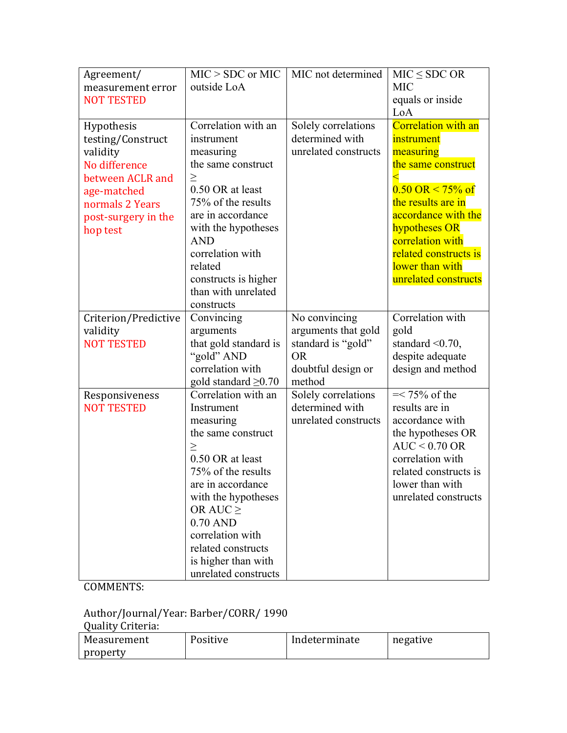| Agreement/           | $MIC > SDC$ or MIC        | MIC not determined   | $MIC \le SDC OR$                      |
|----------------------|---------------------------|----------------------|---------------------------------------|
| measurement error    | outside LoA               |                      | <b>MIC</b>                            |
| <b>NOT TESTED</b>    |                           |                      | equals or inside                      |
|                      |                           |                      | LoA                                   |
| Hypothesis           | Correlation with an       | Solely correlations  | Correlation with an                   |
| testing/Construct    | instrument                | determined with      | instrument                            |
| validity             | measuring                 | unrelated constructs | measuring                             |
| No difference        | the same construct        |                      | the same construct                    |
| between ACLR and     | $\geq$                    |                      |                                       |
| age-matched          | 0.50 OR at least          |                      | $0.50 \text{ OR} \le 75\% \text{ of}$ |
| normals 2 Years      | 75% of the results        |                      | the results are in                    |
| post-surgery in the  | are in accordance         |                      | accordance with the                   |
| hop test             | with the hypotheses       |                      | hypotheses OR                         |
|                      | <b>AND</b>                |                      | correlation with                      |
|                      | correlation with          |                      | related constructs is                 |
|                      | related                   |                      | lower than with                       |
|                      | constructs is higher      |                      | unrelated constructs                  |
|                      | than with unrelated       |                      |                                       |
|                      | constructs                |                      |                                       |
| Criterion/Predictive | Convincing                | No convincing        | Correlation with                      |
| validity             | arguments                 | arguments that gold  | gold                                  |
| <b>NOT TESTED</b>    | that gold standard is     | standard is "gold"   | standard $\leq 0.70$ ,                |
|                      | "gold" AND                | <b>OR</b>            | despite adequate                      |
|                      | correlation with          | doubtful design or   | design and method                     |
|                      | gold standard $\geq 0.70$ | method               |                                       |
| Responsiveness       | Correlation with an       | Solely correlations  | $=< 75\%$ of the                      |
| <b>NOT TESTED</b>    | Instrument                | determined with      | results are in                        |
|                      | measuring                 | unrelated constructs | accordance with                       |
|                      | the same construct        |                      | the hypotheses OR                     |
|                      | >                         |                      | $AUC < 0.70$ OR                       |
|                      | 0.50 OR at least          |                      | correlation with                      |
|                      | 75% of the results        |                      | related constructs is                 |
|                      | are in accordance         |                      | lower than with                       |
|                      | with the hypotheses       |                      | unrelated constructs                  |
|                      | OR AUC $\geq$             |                      |                                       |
|                      | $0.70$ AND                |                      |                                       |
|                      | correlation with          |                      |                                       |
|                      | related constructs        |                      |                                       |
|                      | is higher than with       |                      |                                       |
|                      | unrelated constructs      |                      |                                       |

#### Author/Journal/Year: Barber/CORR/ 1990

Quality Criteria: 

| Measurement | Positive | Indeterminate | negative |
|-------------|----------|---------------|----------|
| property    |          |               |          |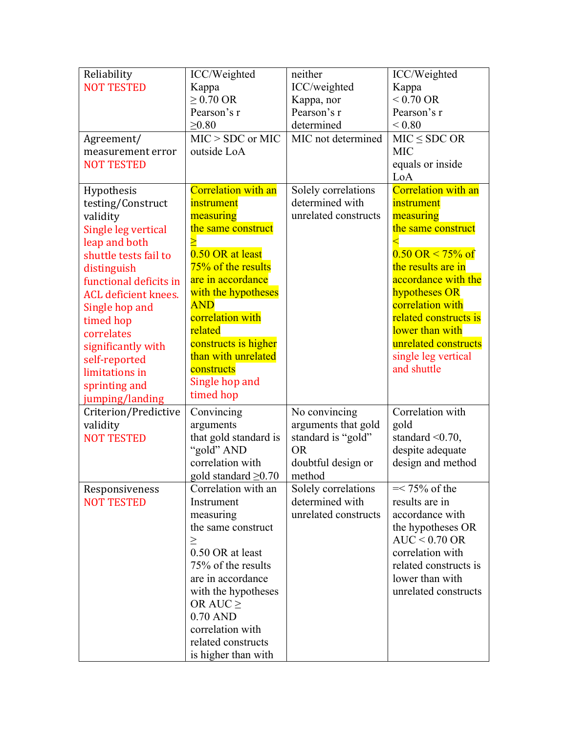| Reliability            | ICC/Weighted                      | neither                         | ICC/Weighted                          |
|------------------------|-----------------------------------|---------------------------------|---------------------------------------|
| <b>NOT TESTED</b>      | Kappa                             | ICC/weighted                    | Kappa                                 |
|                        | $\geq$ 0.70 OR                    | Kappa, nor                      | $< 0.70 \text{ OR}$                   |
|                        | Pearson's r                       | Pearson's r                     | Pearson's r                           |
|                        | $\geq 0.80$                       | determined                      | ${}_{0.80}$                           |
| Agreement/             | $MIC > SDC$ or MIC                | MIC not determined              | $MIC \leq SDC OR$                     |
| measurement error      | outside LoA                       |                                 | <b>MIC</b>                            |
| <b>NOT TESTED</b>      |                                   |                                 | equals or inside                      |
|                        |                                   |                                 | LoA                                   |
| Hypothesis             | <b>Correlation with an</b>        | Solely correlations             | <b>Correlation with an</b>            |
| testing/Construct      | instrument                        | determined with                 | instrument                            |
| validity               | measuring                         | unrelated constructs            | measuring                             |
| Single leg vertical    | the same construct                |                                 | the same construct                    |
| leap and both          |                                   |                                 |                                       |
| shuttle tests fail to  | 0.50 OR at least                  |                                 | $0.50 \text{ OR} \le 75\% \text{ of}$ |
| distinguish            | 75% of the results                |                                 | the results are in                    |
| functional deficits in | are in accordance                 |                                 | accordance with the                   |
| ACL deficient knees.   | with the hypotheses<br><b>AND</b> |                                 | hypotheses OR<br>correlation with     |
| Single hop and         | correlation with                  |                                 | related constructs is                 |
| timed hop              | related                           |                                 | lower than with                       |
| correlates             | constructs is higher              |                                 | unrelated constructs                  |
| significantly with     | than with unrelated               |                                 | single leg vertical                   |
| self-reported          | constructs                        |                                 | and shuttle                           |
| limitations in         | Single hop and                    |                                 |                                       |
| sprinting and          | timed hop                         |                                 |                                       |
| jumping/landing        |                                   |                                 |                                       |
| Criterion/Predictive   | Convincing                        | No convincing                   | Correlation with                      |
| validity               | arguments                         | arguments that gold             | gold                                  |
| <b>NOT TESTED</b>      | that gold standard is             | standard is "gold"<br><b>OR</b> | standard $\leq 0.70$ ,                |
|                        | "gold" AND<br>correlation with    | doubtful design or              | despite adequate<br>design and method |
|                        | gold standard $\geq 0.70$         | method                          |                                       |
| Responsiveness         | Correlation with an               | Solely correlations             | $=< 75\%$ of the                      |
| <b>NOT TESTED</b>      | Instrument                        | determined with                 | results are in                        |
|                        | measuring                         | unrelated constructs            | accordance with                       |
|                        | the same construct                |                                 | the hypotheses OR                     |
|                        | $\geq$                            |                                 | $AUC < 0.70$ OR                       |
|                        | 0.50 OR at least                  |                                 | correlation with                      |
|                        | 75% of the results                |                                 | related constructs is                 |
|                        | are in accordance                 |                                 | lower than with                       |
|                        | with the hypotheses               |                                 | unrelated constructs                  |
|                        | OR AUC $\geq$                     |                                 |                                       |
|                        | $0.70$ AND                        |                                 |                                       |
|                        | correlation with                  |                                 |                                       |
|                        | related constructs                |                                 |                                       |
|                        | is higher than with               |                                 |                                       |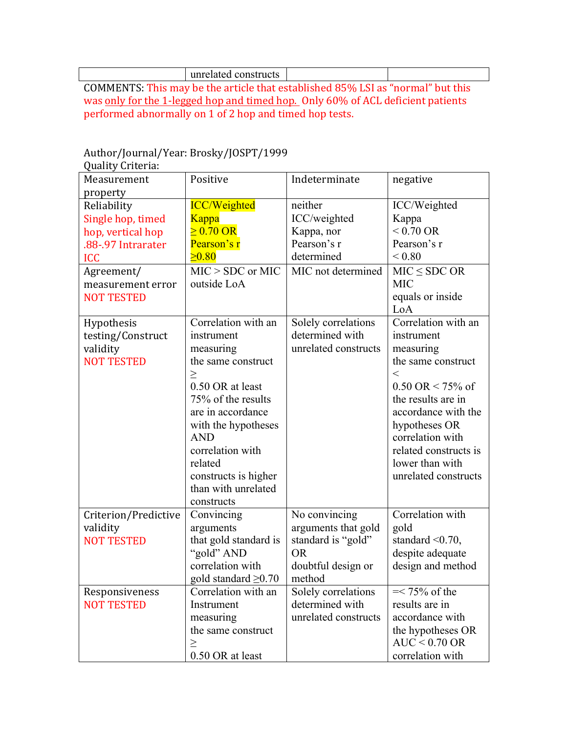unrelated constructs

COMMENTS: This may be the article that established 85% LSI as "normal" but this was only for the 1-legged hop and timed hop. Only 60% of ACL deficient patients performed abnormally on  $1$  of  $2$  hop and timed hop tests.

### Author/Journal/Year: Brosky/JOSPT/1999

| Quality Criteria:    |                           |                      |                                         |
|----------------------|---------------------------|----------------------|-----------------------------------------|
| Measurement          | Positive                  | Indeterminate        | negative                                |
| property             |                           |                      |                                         |
| Reliability          | <b>ICC/Weighted</b>       | neither              | ICC/Weighted                            |
| Single hop, timed    | <b>Kappa</b>              | ICC/weighted         | Kappa                                   |
| hop, vertical hop    | $> 0.70 \text{ OR}$       | Kappa, nor           | $< 0.70 \text{ OR}$                     |
| .88-.97 Intrarater   | Pearson's r               | Pearson's r          | Pearson's r                             |
| <b>ICC</b>           | $\geq 0.80$               | determined           | ${}_{0.80}$                             |
| Agreement/           | $MIC > SDC$ or $MIC$      | MIC not determined   | $MIC \le SDC OR$                        |
| measurement error    | outside LoA               |                      | <b>MIC</b>                              |
| <b>NOT TESTED</b>    |                           |                      | equals or inside                        |
|                      |                           |                      | LoA                                     |
| Hypothesis           | Correlation with an       | Solely correlations  | $\overline{\text{Correlation}}$ with an |
| testing/Construct    | instrument                | determined with      | instrument                              |
| validity             | measuring                 | unrelated constructs | measuring                               |
| <b>NOT TESTED</b>    | the same construct        |                      | the same construct                      |
|                      | $\geq$                    |                      | $\,<\,$                                 |
|                      | 0.50 OR at least          |                      | $0.50 \text{ OR} < 75\% \text{ of}$     |
|                      | 75% of the results        |                      | the results are in                      |
|                      | are in accordance         |                      | accordance with the                     |
|                      | with the hypotheses       |                      | hypotheses OR                           |
|                      | <b>AND</b>                |                      | correlation with                        |
|                      | correlation with          |                      | related constructs is                   |
|                      | related                   |                      | lower than with                         |
|                      | constructs is higher      |                      | unrelated constructs                    |
|                      | than with unrelated       |                      |                                         |
|                      | constructs                |                      |                                         |
| Criterion/Predictive | Convincing                | No convincing        | Correlation with                        |
| validity             | arguments                 | arguments that gold  | gold                                    |
| <b>NOT TESTED</b>    | that gold standard is     | standard is "gold"   | standard $\leq 0.70$ ,                  |
|                      | "gold" AND                | <b>OR</b>            | despite adequate                        |
|                      | correlation with          | doubtful design or   | design and method                       |
|                      | gold standard $\geq 0.70$ | method               |                                         |
| Responsiveness       | Correlation with an       | Solely correlations  | $=< 75\%$ of the                        |
| <b>NOT TESTED</b>    | Instrument                | determined with      | results are in                          |
|                      | measuring                 | unrelated constructs | accordance with                         |
|                      | the same construct        |                      | the hypotheses OR                       |
|                      | $\geq$                    |                      | $AUC < 0.70$ OR                         |
|                      | 0.50 OR at least          |                      | correlation with                        |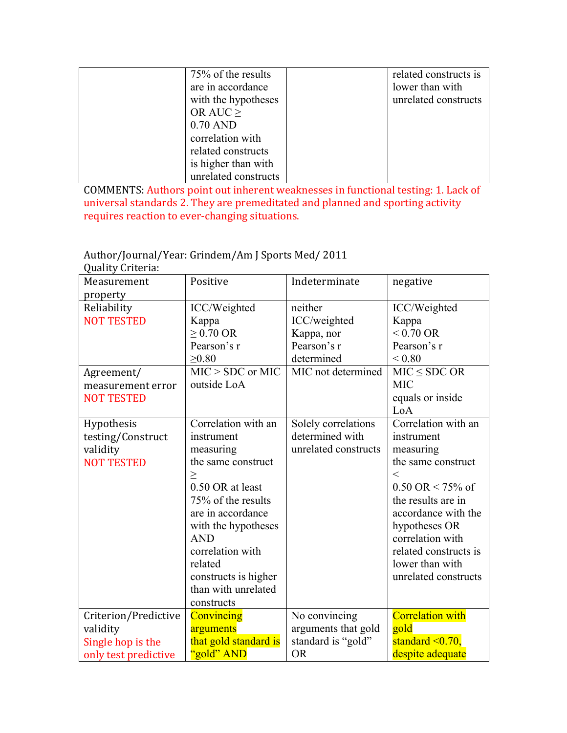| 75% of the results   | related constructs is |
|----------------------|-----------------------|
| are in accordance    | lower than with       |
| with the hypotheses  | unrelated constructs  |
| OR AUC $\geq$        |                       |
| $0.70$ AND           |                       |
| correlation with     |                       |
| related constructs   |                       |
| is higher than with  |                       |
| unrelated constructs |                       |

COMMENTS: Authors point out inherent weaknesses in functional testing: 1. Lack of universal standards 2. They are premeditated and planned and sporting activity requires reaction to ever-changing situations.

### Author/Journal/Year: Grindem/Am J Sports Med/ 2011

| Quality Criteria:                                                                        |                                                                                                                                                                                                                                                                                |                                                                                          |                                                                                                                                                                                                                                                                            |
|------------------------------------------------------------------------------------------|--------------------------------------------------------------------------------------------------------------------------------------------------------------------------------------------------------------------------------------------------------------------------------|------------------------------------------------------------------------------------------|----------------------------------------------------------------------------------------------------------------------------------------------------------------------------------------------------------------------------------------------------------------------------|
| Measurement<br>property                                                                  | Positive                                                                                                                                                                                                                                                                       | Indeterminate                                                                            | negative                                                                                                                                                                                                                                                                   |
| Reliability<br><b>NOT TESTED</b><br>Agreement/<br>measurement error<br><b>NOT TESTED</b> | ICC/Weighted<br>Kappa<br>$\geq$ 0.70 OR<br>Pearson's r<br>$\geq 0.80$<br>$MIC > SDC$ or MIC<br>outside LoA                                                                                                                                                                     | neither<br>ICC/weighted<br>Kappa, nor<br>Pearson's r<br>determined<br>MIC not determined | ICC/Weighted<br>Kappa<br>$< 0.70 \text{ OR}$<br>Pearson's r<br>${}_{0.80}$<br>$MIC \le SDC OR$<br><b>MIC</b><br>equals or inside                                                                                                                                           |
|                                                                                          |                                                                                                                                                                                                                                                                                |                                                                                          | LoA                                                                                                                                                                                                                                                                        |
| Hypothesis<br>testing/Construct<br>validity<br><b>NOT TESTED</b>                         | Correlation with an<br>instrument<br>measuring<br>the same construct<br>$\geq$<br>0.50 OR at least<br>75% of the results<br>are in accordance<br>with the hypotheses<br><b>AND</b><br>correlation with<br>related<br>constructs is higher<br>than with unrelated<br>constructs | Solely correlations<br>determined with<br>unrelated constructs                           | Correlation with an<br>instrument<br>measuring<br>the same construct<br>$\lt$<br>$0.50 \text{ OR} < 75\% \text{ of}$<br>the results are in<br>accordance with the<br>hypotheses OR<br>correlation with<br>related constructs is<br>lower than with<br>unrelated constructs |
| Criterion/Predictive<br>validity<br>Single hop is the<br>only test predictive            | Convincing<br>arguments<br>that gold standard is<br>"gold" AND                                                                                                                                                                                                                 | No convincing<br>arguments that gold<br>standard is "gold"<br><b>OR</b>                  | <b>Correlation with</b><br>gold<br>standard $\leq 0.70$ ,<br>despite adequate                                                                                                                                                                                              |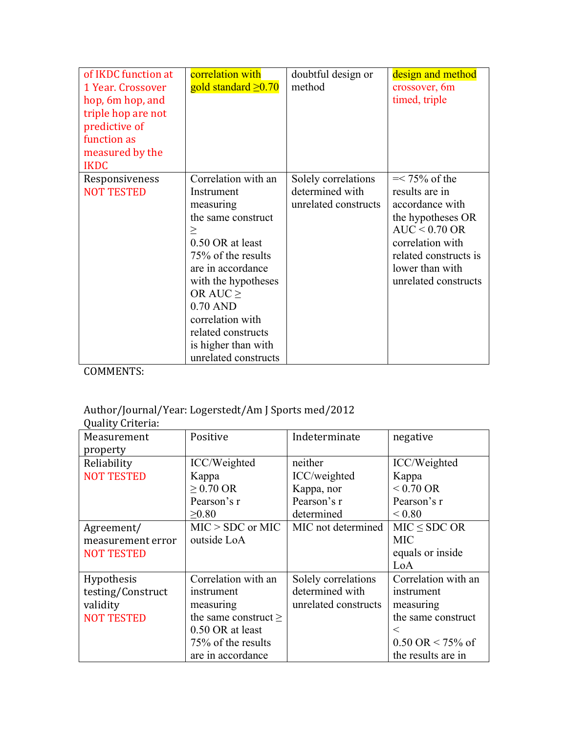| of IKDC function at<br>1 Year. Crossover<br>hop, 6m hop, and<br>triple hop are not<br>predictive of<br>function as<br>measured by the<br><b>IKDC</b> | correlation with<br>gold standard $\geq 0.70$                                                                                                                                                                                                                                           | doubtful design or<br>method                                   | design and method<br>crossover, 6m<br>timed, triple                                                                                                                                   |
|------------------------------------------------------------------------------------------------------------------------------------------------------|-----------------------------------------------------------------------------------------------------------------------------------------------------------------------------------------------------------------------------------------------------------------------------------------|----------------------------------------------------------------|---------------------------------------------------------------------------------------------------------------------------------------------------------------------------------------|
| Responsiveness<br><b>NOT TESTED</b>                                                                                                                  | Correlation with an<br>Instrument<br>measuring<br>the same construct<br>><br>0.50 OR at least<br>75% of the results<br>are in accordance<br>with the hypotheses<br>OR AUC $\geq$<br>$0.70$ AND<br>correlation with<br>related constructs<br>is higher than with<br>unrelated constructs | Solely correlations<br>determined with<br>unrelated constructs | $=< 75\%$ of the<br>results are in<br>accordance with<br>the hypotheses OR<br>$AUC < 0.70$ OR<br>correlation with<br>related constructs is<br>lower than with<br>unrelated constructs |

### Author/Journal/Year: Logerstedt/Am J Sports med/2012

| Quality Criteria: |                           |                      |                                       |
|-------------------|---------------------------|----------------------|---------------------------------------|
| Measurement       | Positive                  | Indeterminate        | negative                              |
| property          |                           |                      |                                       |
| Reliability       | ICC/Weighted              | neither              | ICC/Weighted                          |
| <b>NOT TESTED</b> | Kappa                     | ICC/weighted         | Kappa                                 |
|                   | $\geq$ 0.70 OR            | Kappa, nor           | $< 0.70$ OR                           |
|                   | Pearson's r               | Pearson's r          | Pearson's r                           |
|                   | $\geq 0.80$               | determined           | ${}_{0.80}$                           |
| Agreement/        | $MIC > SDC$ or MIC        | MIC not determined   | $MIC \le SDC OR$                      |
| measurement error | outside LoA               |                      | <b>MIC</b>                            |
| <b>NOT TESTED</b> |                           |                      | equals or inside                      |
|                   |                           |                      | LoA                                   |
| Hypothesis        | Correlation with an       | Solely correlations  | Correlation with an                   |
| testing/Construct | instrument                | determined with      | instrument                            |
| validity          | measuring                 | unrelated constructs | measuring                             |
| <b>NOT TESTED</b> | the same construct $\geq$ |                      | the same construct                    |
|                   | 0.50 OR at least          |                      | $\,<\,$                               |
|                   | 75% of the results        |                      | $0.50 \text{ OR} \le 75\% \text{ of}$ |
|                   | are in accordance         |                      | the results are in                    |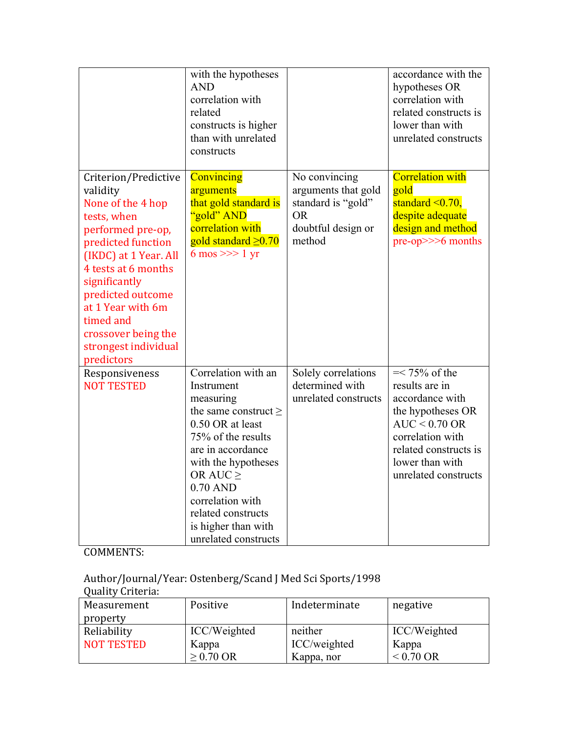|                                                                                                                                                                                                                                                                                                      | with the hypotheses<br><b>AND</b><br>correlation with<br>related<br>constructs is higher<br>than with unrelated<br>constructs                                                                                                                                                           |                                                                                                         | accordance with the<br>hypotheses OR<br>correlation with<br>related constructs is<br>lower than with<br>unrelated constructs                                                          |
|------------------------------------------------------------------------------------------------------------------------------------------------------------------------------------------------------------------------------------------------------------------------------------------------------|-----------------------------------------------------------------------------------------------------------------------------------------------------------------------------------------------------------------------------------------------------------------------------------------|---------------------------------------------------------------------------------------------------------|---------------------------------------------------------------------------------------------------------------------------------------------------------------------------------------|
| Criterion/Predictive<br>validity<br>None of the 4 hop<br>tests, when<br>performed pre-op,<br>predicted function<br>(IKDC) at 1 Year. All<br>4 tests at 6 months<br>significantly<br>predicted outcome<br>at 1 Year with 6m<br>timed and<br>crossover being the<br>strongest individual<br>predictors | Convincing<br>arguments<br>that gold standard is<br>'gold" AND<br>correlation with<br>gold standard $\geq 0.70$<br>$6 \text{ mos} \gg 1 \text{ yr}$                                                                                                                                     | No convincing<br>arguments that gold<br>standard is "gold"<br><b>OR</b><br>doubtful design or<br>method | <b>Correlation with</b><br>gold<br>standard $\leq 0.70$ ,<br>despite adequate<br>design and method<br>$pre-op \gg > 6$ months                                                         |
| Responsiveness<br><b>NOT TESTED</b>                                                                                                                                                                                                                                                                  | Correlation with an<br>Instrument<br>measuring<br>the same construct $\geq$<br>0.50 OR at least<br>75% of the results<br>are in accordance<br>with the hypotheses<br>OR AUC $\geq$<br>0.70 AND<br>correlation with<br>related constructs<br>is higher than with<br>unrelated constructs | Solely correlations<br>determined with<br>unrelated constructs                                          | $=< 75\%$ of the<br>results are in<br>accordance with<br>the hypotheses OR<br>$AUC < 0.70$ OR<br>correlation with<br>related constructs is<br>lower than with<br>unrelated constructs |

Author/Journal/Year: Ostenberg/Scand J Med Sci Sports/1998

| <b>Quality Criteria:</b> |              |               |                     |
|--------------------------|--------------|---------------|---------------------|
| Measurement              | Positive     | Indeterminate | negative            |
| property                 |              |               |                     |
| Reliability              | ICC/Weighted | neither       | ICC/Weighted        |
| <b>NOT TESTED</b>        | Kappa        | ICC/weighted  | Kappa               |
|                          | $> 0.70$ OR  | Kappa, nor    | $< 0.70 \text{ OR}$ |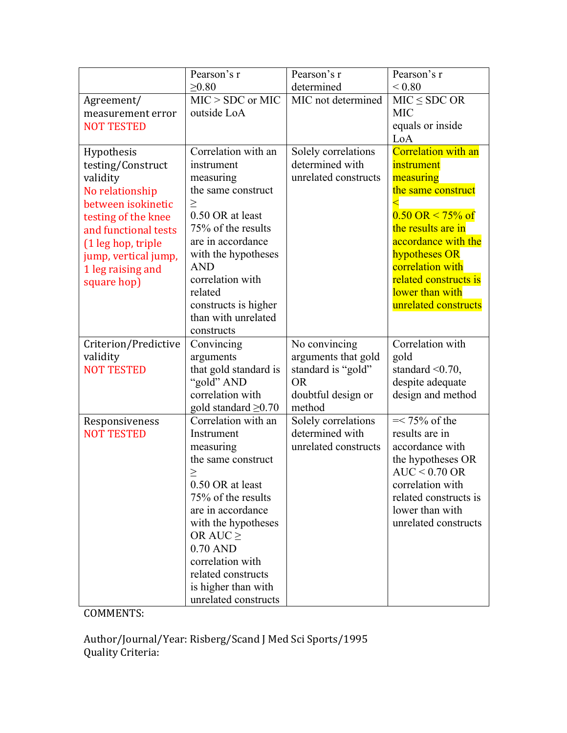|                                           | Pearson's r                                      | Pearson's r                            | Pearson's r                           |
|-------------------------------------------|--------------------------------------------------|----------------------------------------|---------------------------------------|
|                                           | $\geq 0.80$                                      | determined                             | ${}_{0.80}$                           |
| Agreement/                                | $MIC > SDC$ or $MIC$                             | MIC not determined                     | $MIC \leq SDC OR$                     |
| measurement error                         | outside LoA                                      |                                        | <b>MIC</b>                            |
| <b>NOT TESTED</b>                         |                                                  |                                        | equals or inside                      |
|                                           |                                                  |                                        | LoA                                   |
| Hypothesis                                | Correlation with an                              | Solely correlations                    | <b>Correlation with an</b>            |
| testing/Construct                         | instrument                                       | determined with                        | instrument                            |
| validity                                  | measuring                                        | unrelated constructs                   | measuring                             |
| No relationship                           | the same construct                               |                                        | the same construct                    |
| between isokinetic                        | $\geq$<br>0.50 OR at least                       |                                        | $0.50 \text{ OR} \le 75\% \text{ of}$ |
| testing of the knee                       | 75% of the results                               |                                        | the results are in                    |
| and functional tests                      | are in accordance                                |                                        | accordance with the                   |
| (1 leg hop, triple                        | with the hypotheses                              |                                        | hypotheses OR                         |
| jump, vertical jump,<br>1 leg raising and | <b>AND</b>                                       |                                        | correlation with                      |
| square hop)                               | correlation with                                 |                                        | related constructs is                 |
|                                           | related                                          |                                        | lower than with                       |
|                                           | constructs is higher                             |                                        | unrelated constructs                  |
|                                           | than with unrelated                              |                                        |                                       |
|                                           | constructs                                       |                                        |                                       |
| Criterion/Predictive                      | Convincing                                       | No convincing                          | Correlation with                      |
| validity                                  | arguments                                        | arguments that gold                    | gold                                  |
| <b>NOT TESTED</b>                         | that gold standard is                            | standard is "gold"                     | standard $\leq 0.70$ ,                |
|                                           | "gold" AND                                       | <b>OR</b>                              | despite adequate                      |
|                                           | correlation with                                 | doubtful design or                     | design and method                     |
|                                           | gold standard $\geq 0.70$<br>Correlation with an | method                                 | $=< 75\%$ of the                      |
| Responsiveness<br><b>NOT TESTED</b>       | Instrument                                       | Solely correlations<br>determined with | results are in                        |
|                                           | measuring                                        | unrelated constructs                   | accordance with                       |
|                                           | the same construct                               |                                        | the hypotheses OR                     |
|                                           | $\geq$                                           |                                        | $AUC < 0.70$ OR                       |
|                                           | 0.50 OR at least                                 |                                        | correlation with                      |
|                                           | 75% of the results                               |                                        | related constructs is                 |
|                                           | are in accordance                                |                                        | lower than with                       |
|                                           | with the hypotheses                              |                                        | unrelated constructs                  |
|                                           | OR AUC $\geq$                                    |                                        |                                       |
|                                           | $0.70$ AND                                       |                                        |                                       |
|                                           | correlation with                                 |                                        |                                       |
|                                           | related constructs                               |                                        |                                       |
|                                           | is higher than with                              |                                        |                                       |
|                                           | unrelated constructs                             |                                        |                                       |

Author/Journal/Year: Risberg/Scand J Med Sci Sports/1995 Quality Criteria: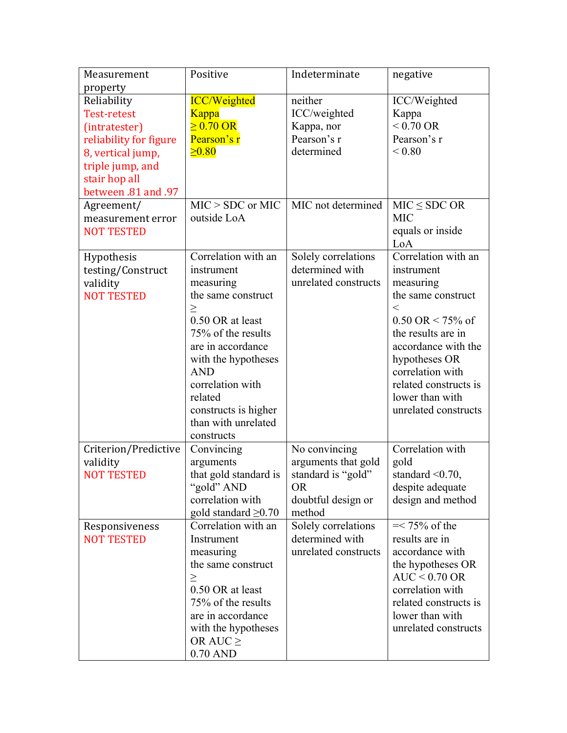| Measurement                   | Positive                            | Indeterminate                             | negative                              |
|-------------------------------|-------------------------------------|-------------------------------------------|---------------------------------------|
| property                      |                                     |                                           |                                       |
| Reliability                   | <b>ICC/Weighted</b>                 | neither                                   | ICC/Weighted                          |
| <b>Test-retest</b>            | <b>Kappa</b>                        | ICC/weighted                              | Kappa                                 |
| (intratester)                 | $\geq 0.70$ OR                      | Kappa, nor                                | $< 0.70 \text{ OR}$                   |
| reliability for figure        | Pearson's r                         | Pearson's r                               | Pearson's r                           |
| 8, vertical jump,             | $\geq 0.80$                         | determined                                | ${}_{0.80}$                           |
| triple jump, and              |                                     |                                           |                                       |
| stair hop all                 |                                     |                                           |                                       |
| between .81 and .97           |                                     |                                           |                                       |
| Agreement/                    | $MIC > SDC$ or MIC                  | MIC not determined                        | $MIC \leq SDC OR$                     |
| measurement error             | outside LoA                         |                                           | <b>MIC</b>                            |
| <b>NOT TESTED</b>             |                                     |                                           | equals or inside                      |
|                               |                                     |                                           | LoA                                   |
| Hypothesis                    | Correlation with an                 | Solely correlations                       | Correlation with an                   |
| testing/Construct             | instrument                          | determined with                           | instrument                            |
| validity                      | measuring                           | unrelated constructs                      | measuring                             |
| <b>NOT TESTED</b>             | the same construct                  |                                           | the same construct                    |
|                               | $\geq$                              |                                           | $\,<\,$                               |
|                               | 0.50 OR at least                    |                                           | $0.50 \text{ OR} \le 75\% \text{ of}$ |
|                               | 75% of the results                  |                                           | the results are in                    |
|                               | are in accordance                   |                                           | accordance with the                   |
|                               | with the hypotheses                 |                                           | hypotheses OR                         |
|                               | <b>AND</b>                          |                                           | correlation with                      |
|                               | correlation with                    |                                           | related constructs is                 |
|                               | related                             |                                           | lower than with                       |
|                               | constructs is higher                |                                           | unrelated constructs                  |
|                               | than with unrelated                 |                                           |                                       |
|                               | constructs                          |                                           | Correlation with                      |
| Criterion/Predictive          | Convincing                          | No convincing                             |                                       |
| validity<br><b>NOT TESTED</b> | arguments                           | arguments that gold<br>standard is "gold" | gold<br>standard $\leq 0.70$ ,        |
|                               | that gold standard is<br>"gold" AND | <b>OR</b>                                 | despite adequate                      |
|                               | correlation with                    | doubtful design or                        | design and method                     |
|                               | gold standard $\geq 0.70$           | method                                    |                                       |
| Responsiveness                | Correlation with an                 | Solely correlations                       | $=< 75\%$ of the                      |
| <b>NOT TESTED</b>             | Instrument                          | determined with                           | results are in                        |
|                               | measuring                           | unrelated constructs                      | accordance with                       |
|                               | the same construct                  |                                           | the hypotheses OR                     |
|                               | $\geq$                              |                                           | $AUC < 0.70$ OR                       |
|                               | 0.50 OR at least                    |                                           | correlation with                      |
|                               | 75% of the results                  |                                           | related constructs is                 |
|                               | are in accordance                   |                                           | lower than with                       |
|                               | with the hypotheses                 |                                           | unrelated constructs                  |
|                               | OR AUC $\geq$                       |                                           |                                       |
|                               | $0.70$ AND                          |                                           |                                       |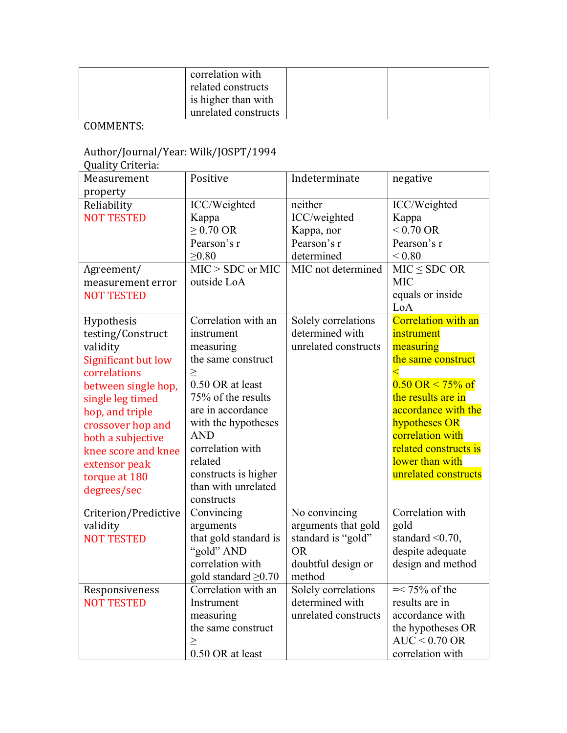| correlation with<br>related constructs |  |
|----------------------------------------|--|
| is higher than with                    |  |
| unrelated constructs                   |  |

#### Author/Journal/Year: Wilk/JOSPT/1994

Quality Criteria: 

| Measurement          | Positive                  | Indeterminate        | negative                              |
|----------------------|---------------------------|----------------------|---------------------------------------|
| property             |                           |                      |                                       |
| Reliability          | ICC/Weighted              | neither              | ICC/Weighted                          |
| <b>NOT TESTED</b>    | Kappa                     | ICC/weighted         | Kappa                                 |
|                      | $\geq$ 0.70 OR            | Kappa, nor           | $< 0.70 \text{ OR}$                   |
|                      | Pearson's r               | Pearson's r          | Pearson's r                           |
|                      | $\geq 0.80$               | determined           | ${}_{< 0.80}$                         |
| Agreement/           | $MIC > SDC$ or $MIC$      | MIC not determined   | $MIC \leq SDC OR$                     |
| measurement error    | outside LoA               |                      | <b>MIC</b>                            |
| <b>NOT TESTED</b>    |                           |                      | equals or inside                      |
|                      |                           |                      | LoA                                   |
| Hypothesis           | Correlation with an       | Solely correlations  | <b>Correlation with an</b>            |
| testing/Construct    | instrument                | determined with      | instrument                            |
| validity             | measuring                 | unrelated constructs | measuring                             |
| Significant but low  | the same construct        |                      | the same construct                    |
| correlations         | $\geq$                    |                      |                                       |
| between single hop,  | 0.50 OR at least          |                      | $0.50 \text{ OR} \le 75\% \text{ of}$ |
| single leg timed     | 75% of the results        |                      | the results are in                    |
| hop, and triple      | are in accordance         |                      | accordance with the                   |
| crossover hop and    | with the hypotheses       |                      | hypotheses OR                         |
| both a subjective    | <b>AND</b>                |                      | correlation with                      |
| knee score and knee  | correlation with          |                      | related constructs is                 |
| extensor peak        | related                   |                      | lower than with                       |
| torque at 180        | constructs is higher      |                      | unrelated constructs                  |
| degrees/sec          | than with unrelated       |                      |                                       |
|                      | constructs                |                      |                                       |
| Criterion/Predictive | Convincing                | No convincing        | Correlation with                      |
| validity             | arguments                 | arguments that gold  | gold                                  |
| <b>NOT TESTED</b>    | that gold standard is     | standard is "gold"   | standard $\leq 0.70$ ,                |
|                      | "gold" AND                | <b>OR</b>            | despite adequate                      |
|                      | correlation with          | doubtful design or   | design and method                     |
|                      | gold standard $\geq 0.70$ | method               |                                       |
| Responsiveness       | Correlation with an       | Solely correlations  | $=< 75\%$ of the                      |
| <b>NOT TESTED</b>    | Instrument                | determined with      | results are in                        |
|                      | measuring                 | unrelated constructs | accordance with                       |
|                      | the same construct        |                      | the hypotheses OR                     |
|                      | $\geq$                    |                      | $AUC < 0.70$ OR                       |
|                      | 0.50 OR at least          |                      | correlation with                      |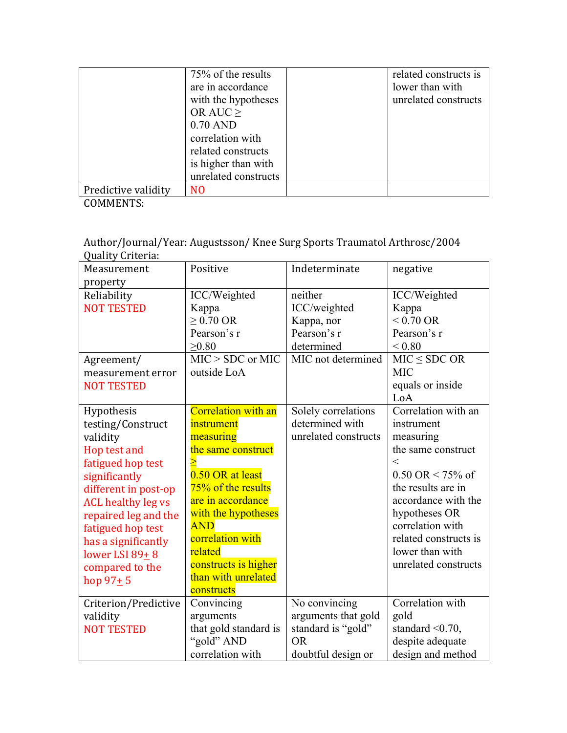|                     | 75% of the results   | related constructs is |
|---------------------|----------------------|-----------------------|
|                     | are in accordance    | lower than with       |
|                     | with the hypotheses  | unrelated constructs  |
|                     | OR AUC $\geq$        |                       |
|                     | $0.70$ AND           |                       |
|                     | correlation with     |                       |
|                     | related constructs   |                       |
|                     | is higher than with  |                       |
|                     | unrelated constructs |                       |
| Predictive validity | NO                   |                       |

Author/Journal/Year: Augustsson/ Knee Surg Sports Traumatol Arthrosc/2004 Quality Criteria: 

| $\lambda$<br>Measurement  | Positive                   | Indeterminate        | negative                            |
|---------------------------|----------------------------|----------------------|-------------------------------------|
| property                  |                            |                      |                                     |
| Reliability               | ICC/Weighted               | neither              | ICC/Weighted                        |
| <b>NOT TESTED</b>         | Kappa                      | ICC/weighted         | Kappa                               |
|                           | $\geq$ 0.70 OR             | Kappa, nor           | $< 0.70 \text{ OR}$                 |
|                           | Pearson's r                | Pearson's r          | Pearson's r                         |
|                           | $\geq 0.80$                | determined           | ${}_{0.80}$                         |
| Agreement/                | $MIC > SDC$ or $MIC$       | MIC not determined   | $MIC \leq SDC OR$                   |
| measurement error         | outside LoA                |                      | <b>MIC</b>                          |
| <b>NOT TESTED</b>         |                            |                      | equals or inside                    |
|                           |                            |                      | LoA                                 |
| Hypothesis                | <b>Correlation with an</b> | Solely correlations  | Correlation with an                 |
| testing/Construct         | instrument                 | determined with      | instrument                          |
| validity                  | measuring                  | unrelated constructs | measuring                           |
| Hop test and              | the same construct         |                      | the same construct                  |
| fatigued hop test         |                            |                      | $\lt$                               |
| significantly             | 0.50 OR at least           |                      | $0.50 \text{ OR} < 75\% \text{ of}$ |
| different in post-op      | 75% of the results         |                      | the results are in                  |
| <b>ACL healthy leg vs</b> | are in accordance          |                      | accordance with the                 |
| repaired leg and the      | with the hypotheses        |                      | hypotheses OR                       |
| fatigued hop test         | <b>AND</b>                 |                      | correlation with                    |
| has a significantly       | correlation with           |                      | related constructs is               |
| lower LSI 89+8            | related                    |                      | lower than with                     |
| compared to the           | constructs is higher       |                      | unrelated constructs                |
| hop $97+5$                | than with unrelated        |                      |                                     |
|                           | constructs                 |                      |                                     |
| Criterion/Predictive      | Convincing                 | No convincing        | Correlation with                    |
| validity                  | arguments                  | arguments that gold  | gold                                |
| <b>NOT TESTED</b>         | that gold standard is      | standard is "gold"   | standard $\leq 0.70$ ,              |
|                           | "gold" AND                 | <b>OR</b>            | despite adequate                    |
|                           | correlation with           | doubtful design or   | design and method                   |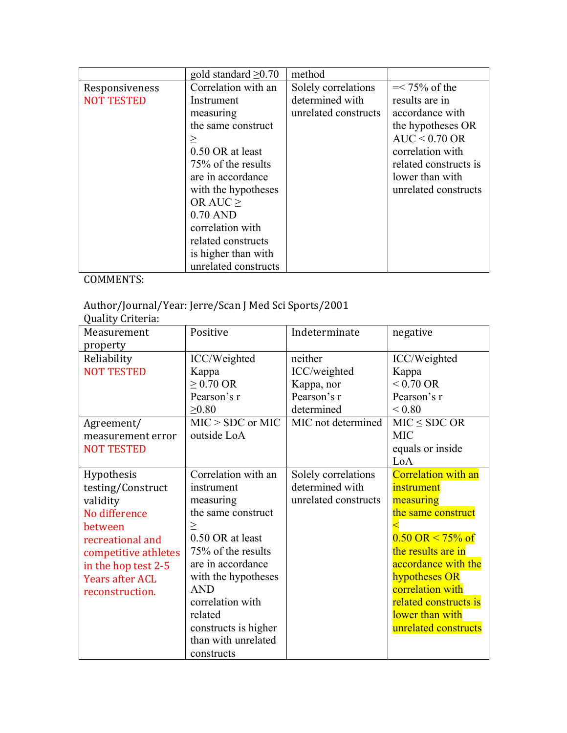|                   | gold standard $\geq 0.70$ | method               |                       |
|-------------------|---------------------------|----------------------|-----------------------|
| Responsiveness    | Correlation with an       | Solely correlations  | $=< 75\%$ of the      |
| <b>NOT TESTED</b> | Instrument                | determined with      | results are in        |
|                   | measuring                 | unrelated constructs | accordance with       |
|                   | the same construct        |                      | the hypotheses OR     |
|                   |                           |                      | $AUC < 0.70$ OR       |
|                   | 0.50 OR at least          |                      | correlation with      |
|                   | 75% of the results        |                      | related constructs is |
|                   | are in accordance         |                      | lower than with       |
|                   | with the hypotheses       |                      | unrelated constructs  |
|                   | OR AUC $\geq$             |                      |                       |
|                   | $0.70$ AND                |                      |                       |
|                   | correlation with          |                      |                       |
|                   | related constructs        |                      |                       |
|                   | is higher than with       |                      |                       |
|                   | unrelated constructs      |                      |                       |

# Author/Journal/Year: Jerre/Scan J Med Sci Sports/2001

Quality Criteria: 

| Measurement            | Positive             | Indeterminate        | negative                              |
|------------------------|----------------------|----------------------|---------------------------------------|
| property               |                      |                      |                                       |
| Reliability            | ICC/Weighted         | neither              | ICC/Weighted                          |
| <b>NOT TESTED</b>      | Kappa                | ICC/weighted         | Kappa                                 |
|                        | $\geq$ 0.70 OR       | Kappa, nor           | $< 0.70$ OR                           |
|                        | Pearson's r          | Pearson's r          | Pearson's r                           |
|                        | >0.80                | determined           | ${}_{0.80}$                           |
| Agreement/             | $MIC > SDC$ or MIC   | MIC not determined   | $MIC \le SDC OR$                      |
| measurement error      | outside LoA          |                      | <b>MIC</b>                            |
| <b>NOT TESTED</b>      |                      |                      | equals or inside                      |
|                        |                      |                      | LoA                                   |
| Hypothesis             | Correlation with an  | Solely correlations  | <b>Correlation with an</b>            |
| testing/Construct      | instrument           | determined with      | instrument                            |
| validity               | measuring            | unrelated constructs | measuring                             |
| No difference          | the same construct   |                      | the same construct                    |
| between                | $\geq$               |                      |                                       |
| recreational and       | 0.50 OR at least     |                      | $0.50 \text{ OR} \le 75\% \text{ of}$ |
| competitive athletes   | 75% of the results   |                      | the results are in                    |
| in the hop test 2-5    | are in accordance    |                      | accordance with the                   |
| <b>Years after ACL</b> | with the hypotheses  |                      | hypotheses OR                         |
| reconstruction.        | <b>AND</b>           |                      | correlation with                      |
|                        | correlation with     |                      | related constructs is                 |
|                        | related              |                      | lower than with                       |
|                        | constructs is higher |                      | unrelated constructs                  |
|                        | than with unrelated  |                      |                                       |
|                        | constructs           |                      |                                       |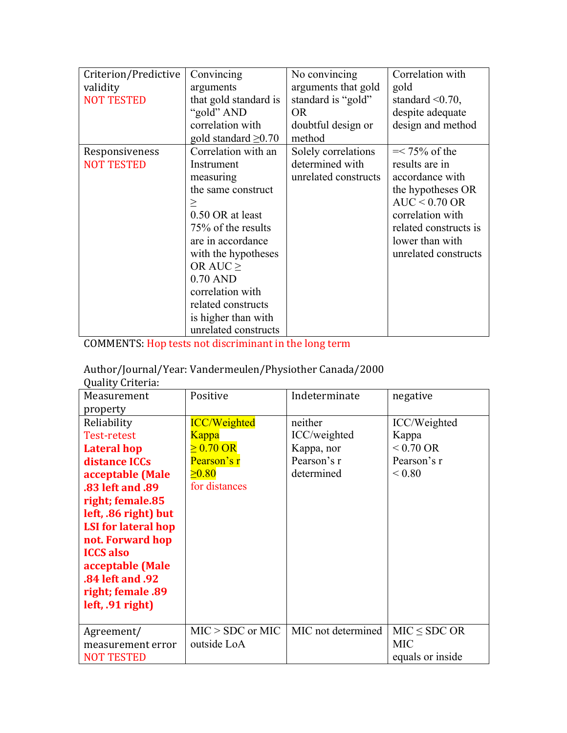| Criterion/Predictive<br>validity<br><b>NOT TESTED</b> | Convincing<br>arguments<br>that gold standard is<br>"gold" AND<br>correlation with<br>gold standard $\geq 0.70$                                                                                                                                                                              | No convincing<br>arguments that gold<br>standard is "gold"<br><b>OR</b><br>doubtful design or<br>method | Correlation with<br>gold<br>standard $\leq 0.70$ ,<br>despite adequate<br>design and method                                                                                           |
|-------------------------------------------------------|----------------------------------------------------------------------------------------------------------------------------------------------------------------------------------------------------------------------------------------------------------------------------------------------|---------------------------------------------------------------------------------------------------------|---------------------------------------------------------------------------------------------------------------------------------------------------------------------------------------|
| Responsiveness<br><b>NOT TESTED</b>                   | Correlation with an<br>Instrument<br>measuring<br>the same construct<br>$\geq$<br>0.50 OR at least<br>75% of the results<br>are in accordance<br>with the hypotheses<br>OR AUC $\geq$<br>$0.70$ AND<br>correlation with<br>related constructs<br>is higher than with<br>unrelated constructs | Solely correlations<br>determined with<br>unrelated constructs                                          | $=< 75\%$ of the<br>results are in<br>accordance with<br>the hypotheses OR<br>$AUC < 0.70$ OR<br>correlation with<br>related constructs is<br>lower than with<br>unrelated constructs |

COMMENTS: Hop tests not discriminant in the long term

|  |  |  | Author/Journal/Year: Vandermeulen/Physiother Canada/2000 |
|--|--|--|----------------------------------------------------------|
|--|--|--|----------------------------------------------------------|

| Measurement                | Positive            | Indeterminate      | negative            |
|----------------------------|---------------------|--------------------|---------------------|
| property                   |                     |                    |                     |
| Reliability                | <b>ICC/Weighted</b> | neither            | ICC/Weighted        |
| Test-retest                | <b>Kappa</b>        | ICC/weighted       | Kappa               |
| <b>Lateral hop</b>         | $\geq 0.70$ OR      | Kappa, nor         | $< 0.70 \text{ OR}$ |
| distance ICCs              | Pearson's r         | Pearson's r        | Pearson's r         |
| acceptable (Male           | $\geq 0.80$         | determined         | ${}_{\leq 0.80}$    |
| .83 left and .89           | for distances       |                    |                     |
| right; female.85           |                     |                    |                     |
| left, .86 right) but       |                     |                    |                     |
| <b>LSI</b> for lateral hop |                     |                    |                     |
| not. Forward hop           |                     |                    |                     |
| <b>ICCS</b> also           |                     |                    |                     |
| acceptable (Male           |                     |                    |                     |
| .84 left and .92           |                     |                    |                     |
| right; female .89          |                     |                    |                     |
| $left, .91$ right)         |                     |                    |                     |
|                            |                     |                    |                     |
| Agreement/                 | $MIC > SDC$ or MIC  | MIC not determined | $MIC \le SDC OR$    |
| measurement error          | outside LoA         |                    | <b>MIC</b>          |
| <b>NOT TESTED</b>          |                     |                    | equals or inside    |